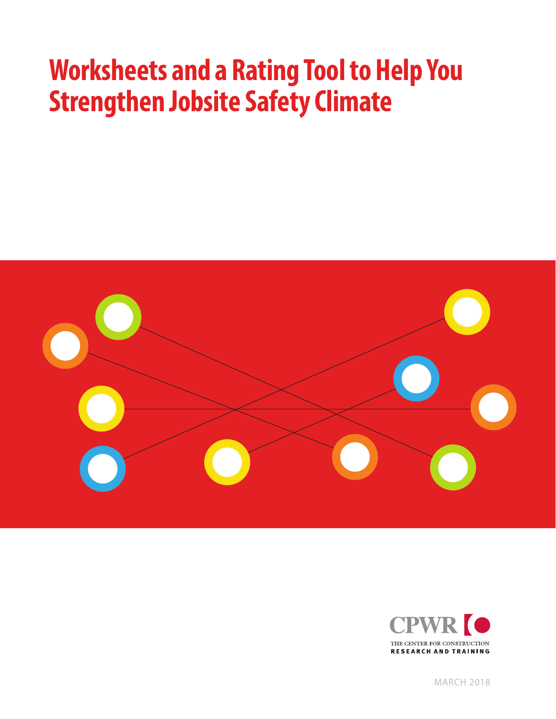# **Worksheets and a Rating Tool to Help You Strengthen Jobsite Safety Climate**





MARCH 2018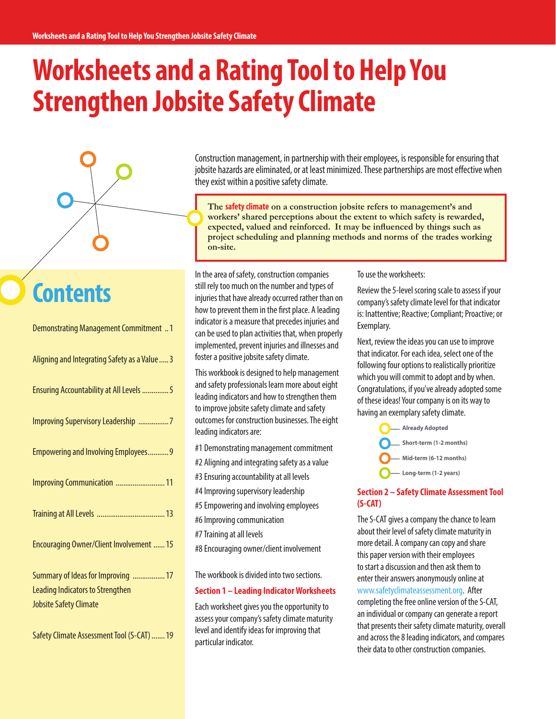# **Worksheets and a Rating Tool to Help You Strengthen Jobsite Safety Climate**



## **Contents**

| <b>Demonstrating Management Commitment  1</b>                                                                  |
|----------------------------------------------------------------------------------------------------------------|
| Aligning and Integrating Safety as a Value  3                                                                  |
| Ensuring Accountability at All Levels  5                                                                       |
| Improving Supervisory Leadership 7                                                                             |
| <b>Empowering and Involving Employees 9</b>                                                                    |
| Improving Communication  11                                                                                    |
|                                                                                                                |
| Encouraging Owner/Client Involvement  15                                                                       |
| Summary of Ideas for Improving  17<br><b>Leading Indicators to Strengthen</b><br><b>Jobsite Safety Climate</b> |

Safety Climate Assessment Tool (S-CAT).......19

Construction management, in partnership with their employees, is responsible for ensuring that jobsite hazards are eliminated, or at least minimized. These partnerships are most effective when they exist within a positive safety climate.

**The safety climate on a construction jobsite refers to management's and workers' shared perceptions about the extent to which safety is rewarded, expected, valued and reinforced. It may be influenced by things such as project scheduling and planning methods and norms of the trades working on-site.**

In the area of safety, construction companies still rely too much on the number and types of injuries that have already occurred rather than on how to prevent them in the first place. A leading indicator is a measure that precedes injuries and can be used to plan activities that, when properly implemented, prevent injuries and illnesses and foster a positive jobsite safety climate.

This workbook is designed to help management and safety professionals learn more about eight leading indicators and how to strengthen them to improve jobsite safety climate and safety outcomes for construction businesses. The eight leading indicators are:

#1 Demonstrating management commitment

- #2 Aligning and integrating safety as a value
- #3 Ensuring accountability at all levels
- #4 Improving supervisory leadership
- #5 Empowering and involving employees
- #6 Improving communication
- #7 Training at all levels
- #8 Encouraging owner/client involvement

The workbook is divided into two sections.

#### **Section 1 – Leading Indicator Worksheets**

Each worksheet gives you the opportunity to assess your company's safety climate maturity level and identify ideas for improving that particular indicator.

To use the worksheets:

Review the 5-level scoring scale to assess if your company's safety climate level for that indicator is: Inattentive; Reactive; Compliant; Proactive; or Exemplary.

Next, review the ideas you can use to improve that indicator. For each idea, select one of the following four options to realistically prioritize which you will commit to adopt and by when. Congratulations, if you've already adopted some of these ideas! Your company is on its way to having an exemplary safety climate.



#### **Section 2 – Safety Climate Assessment Tool (S-CAT)**

The S-CAT gives a company the chance to learn about their level of safety climate maturity in more detail. A company can copy and share this paper version with their employees to start a discussion and then ask them to enter their answers anonymously online at www.safetyclimateassessment.org. After completing the free online version of the S-CAT, an individual or company can generate a report that presents their safety climate maturity, overall and across the 8 leading indicators, and compares their data to other construction companies.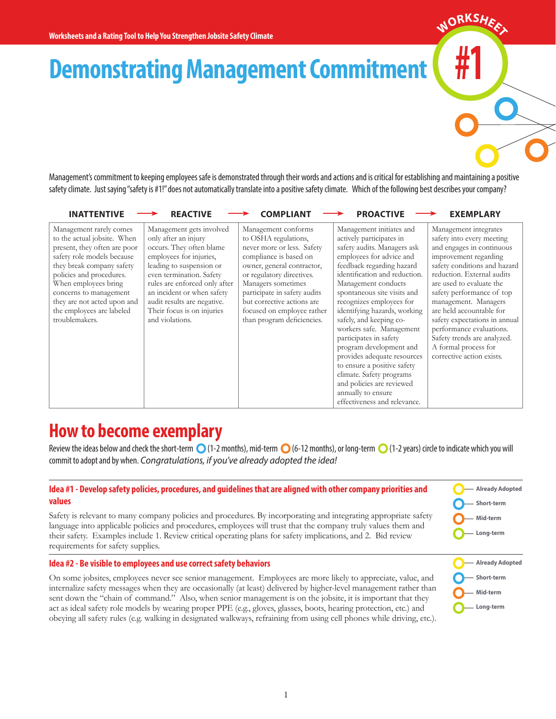**Demonstrating Management Commitment** 

Management's commitment to keeping employees safe is demonstrated through their words and actions and is critical for establishing and maintaining a positive safety climate. Just saying "safety is #1!" does not automatically translate into a positive safety climate. Which of the following best describes your company?

| <b>INATTENTIVE</b>                                                                                                                                                                                                                                                                                            | <b>REACTIVE</b>                                                                                                                                                                                                                                                                                                | <b>COMPLIANT</b>                                                                                                                                                                                                                                                                                               | <b>PROACTIVE</b>                                                                                                                                                                                                                                                                                                                                                                                                                                                                                                                                                                         | <b>EXEMPLARY</b>                                                                                                                                                                                                                                                                                                                                                                                                                     |
|---------------------------------------------------------------------------------------------------------------------------------------------------------------------------------------------------------------------------------------------------------------------------------------------------------------|----------------------------------------------------------------------------------------------------------------------------------------------------------------------------------------------------------------------------------------------------------------------------------------------------------------|----------------------------------------------------------------------------------------------------------------------------------------------------------------------------------------------------------------------------------------------------------------------------------------------------------------|------------------------------------------------------------------------------------------------------------------------------------------------------------------------------------------------------------------------------------------------------------------------------------------------------------------------------------------------------------------------------------------------------------------------------------------------------------------------------------------------------------------------------------------------------------------------------------------|--------------------------------------------------------------------------------------------------------------------------------------------------------------------------------------------------------------------------------------------------------------------------------------------------------------------------------------------------------------------------------------------------------------------------------------|
| Management rarely comes<br>to the actual jobsite. When<br>present, they often are poor<br>safety role models because<br>they break company safety<br>policies and procedures.<br>When employees bring<br>concerns to management<br>they are not acted upon and<br>the employees are labeled<br>troublemakers. | Management gets involved<br>only after an injury<br>occurs. They often blame<br>employees for injuries,<br>leading to suspension or<br>even termination. Safety<br>rules are enforced only after<br>an incident or when safety<br>audit results are negative.<br>Their focus is on injuries<br>and violations. | Management conforms<br>to OSHA regulations,<br>never more or less. Safety<br>compliance is based on<br>owner, general contractor,<br>or regulatory directives.<br>Managers sometimes<br>participate in safety audits<br>but corrective actions are<br>focused on employee rather<br>than program deficiencies. | Management initiates and<br>actively participates in<br>safety audits. Managers ask<br>employees for advice and<br>feedback regarding hazard<br>identification and reduction.<br>Management conducts<br>spontaneous site visits and<br>recognizes employees for<br>identifying hazards, working<br>safely, and keeping co-<br>workers safe. Management<br>participates in safety<br>program development and<br>provides adequate resources<br>to ensure a positive safety<br>climate. Safety programs<br>and policies are reviewed<br>annually to ensure<br>effectiveness and relevance. | Management integrates<br>safety into every meeting<br>and engages in continuous<br>improvement regarding<br>safety conditions and hazard<br>reduction. External audits<br>are used to evaluate the<br>safety performance of top<br>management. Managers<br>are held accountable for<br>safety expectations in annual<br>performance evaluations.<br>Safety trends are analyzed.<br>A formal process for<br>corrective action exists. |

## **How to become exemplary**

Review the ideas below and check the short-term  $\bigcirc$  (1-2 months), mid-term  $\bigcirc$  (6-12 months), or long-term  $\bigcirc$  (1-2 years) circle to indicate which you will commit to adopt and by when. *Congratulations, if you've already adopted the idea!*

> **Already Adopted Short-term Mid-term Long-term**

**#1**

 $M$ ORKSH<sub>EE</sub>

**Already Adopted Short-term Mid-term Long-term**

#### **Idea #1 - Develop safety policies, procedures, and guidelines that are aligned with other company priorities and values**

Safety is relevant to many company policies and procedures. By incorporating and integrating appropriate safety language into applicable policies and procedures, employees will trust that the company truly values them and their safety. Examples include 1. Review critical operating plans for safety implications, and 2. Bid review requirements for safety supplies.

#### **Idea #2 - Be visible to employees and use correct safety behaviors**

On some jobsites, employees never see senior management. Employees are more likely to appreciate, value, and internalize safety messages when they are occasionally (at least) delivered by higher-level management rather than sent down the "chain of command." Also, when senior management is on the jobsite, it is important that they act as ideal safety role models by wearing proper PPE (e.g., gloves, glasses, boots, hearing protection, etc.) and obeying all safety rules (e.g. walking in designated walkways, refraining from using cell phones while driving, etc.).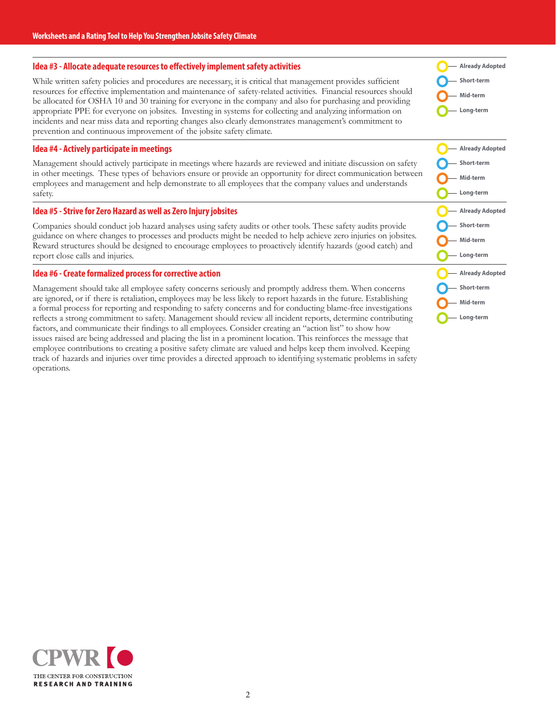#### **Idea #3 - Allocate adequate resources to effectively implement safety activities**

While written safety policies and procedures are necessary, it is critical that management provides sufficient resources for effective implementation and maintenance of safety-related activities. Financial resources should be allocated for OSHA 10 and 30 training for everyone in the company and also for purchasing and providing appropriate PPE for everyone on jobsites. Investing in systems for collecting and analyzing information on incidents and near miss data and reporting changes also clearly demonstrates management's commitment to prevention and continuous improvement of the jobsite safety climate.

#### **Idea #4 - Actively participate in meetings**

Management should actively participate in meetings where hazards are reviewed and initiate discussion on safety in other meetings. These types of behaviors ensure or provide an opportunity for direct communication between employees and management and help demonstrate to all employees that the company values and understands safety.

#### **Idea #5 - Strive for Zero Hazard as well as Zero Injury jobsites**

Companies should conduct job hazard analyses using safety audits or other tools. These safety audits provide guidance on where changes to processes and products might be needed to help achieve zero injuries on jobsites. Reward structures should be designed to encourage employees to proactively identify hazards (good catch) and report close calls and injuries.

#### **Idea #6 - Create formalized process for corrective action**

Management should take all employee safety concerns seriously and promptly address them. When concerns are ignored, or if there is retaliation, employees may be less likely to report hazards in the future. Establishing a formal process for reporting and responding to safety concerns and for conducting blame-free investigations reflects a strong commitment to safety. Management should review all incident reports, determine contributing factors, and communicate their findings to all employees. Consider creating an "action list" to show how issues raised are being addressed and placing the list in a prominent location. This reinforces the message that employee contributions to creating a positive safety climate are valued and helps keep them involved. Keeping track of hazards and injuries over time provides a directed approach to identifying systematic problems in safety operations.





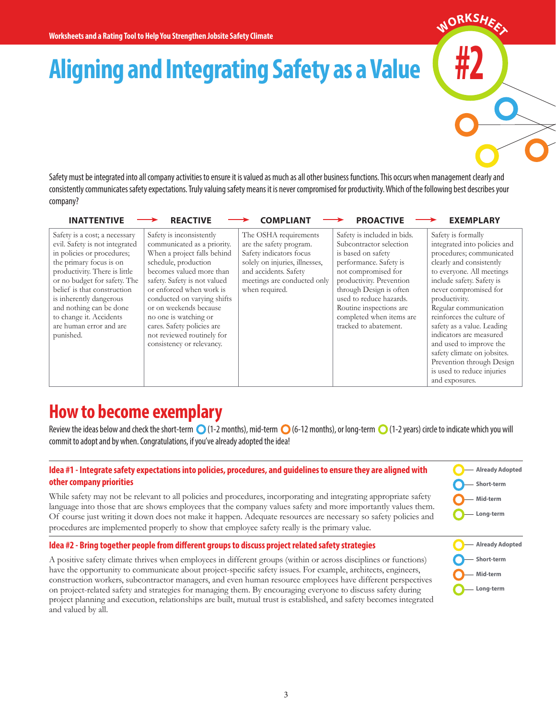## **Aligning and Integrating Safety as a Value**

Safety must be integrated into all company activities to ensure it is valued as much as all other business functions. This occurs when management clearly and consistently communicates safety expectations. Truly valuing safety means it is never compromised for productivity. Which of the following best describes your company?

| <b>INATTENTIVE</b>                                                                                                                                                                                                                                                                                                                                | <b>REACTIVE</b>                                                                                                                                                                                                                                                                                                                                                                   | <b>COMPLIANT</b>                                                                                                                                                                        | <b>PROACTIVE</b>                                                                                                                                                                                                                                                                                | <b>EXEMPLARY</b>                                                                                                                                                                                                                                                                                                                                                                                                                                                     |
|---------------------------------------------------------------------------------------------------------------------------------------------------------------------------------------------------------------------------------------------------------------------------------------------------------------------------------------------------|-----------------------------------------------------------------------------------------------------------------------------------------------------------------------------------------------------------------------------------------------------------------------------------------------------------------------------------------------------------------------------------|-----------------------------------------------------------------------------------------------------------------------------------------------------------------------------------------|-------------------------------------------------------------------------------------------------------------------------------------------------------------------------------------------------------------------------------------------------------------------------------------------------|----------------------------------------------------------------------------------------------------------------------------------------------------------------------------------------------------------------------------------------------------------------------------------------------------------------------------------------------------------------------------------------------------------------------------------------------------------------------|
| Safety is a cost; a necessary<br>evil. Safety is not integrated<br>in policies or procedures;<br>the primary focus is on<br>productivity. There is little<br>or no budget for safety. The<br>belief is that construction<br>is inherently dangerous<br>and nothing can be done<br>to change it. Accidents<br>are human error and are<br>punished. | Safety is inconsistently<br>communicated as a priority.<br>When a project falls behind<br>schedule, production<br>becomes valued more than<br>safety. Safety is not valued<br>or enforced when work is<br>conducted on varying shifts<br>or on weekends because<br>no one is watching or<br>cares. Safety policies are<br>not reviewed routinely for<br>consistency or relevancy. | The OSHA requirements<br>are the safety program.<br>Safety indicators focus<br>solely on injuries, illnesses,<br>and accidents. Safety<br>meetings are conducted only<br>when required. | Safety is included in bids.<br>Subcontractor selection<br>is based on safety<br>performance. Safety is<br>not compromised for<br>productivity. Prevention<br>through Design is often<br>used to reduce hazards.<br>Routine inspections are<br>completed when items are<br>tracked to abatement. | Safety is formally<br>integrated into policies and<br>procedures; communicated<br>clearly and consistently<br>to everyone. All meetings<br>include safety. Safety is<br>never compromised for<br>productivity.<br>Regular communication<br>reinforces the culture of<br>safety as a value. Leading<br>indicators are measured<br>and used to improve the<br>safety climate on jobsites.<br>Prevention through Design<br>is used to reduce injuries<br>and exposures. |

## **How to become exemplary**

Review the ideas below and check the short-term  $\bigcirc$  (1-2 months), mid-term  $\bigcirc$  (6-12 months), or long-term  $\bigcirc$  (1-2 years) circle to indicate which you will commit to adopt and by when. Congratulations, if you've already adopted the idea!

#### **Idea #1 - Integrate safety expectations into policies, procedures, and guidelines to ensure they are aligned with other company priorities**

While safety may not be relevant to all policies and procedures, incorporating and integrating appropriate safety language into those that are shows employees that the company values safety and more importantly values them. Of course just writing it down does not make it happen. Adequate resources are necessary so safety policies and procedures are implemented properly to show that employee safety really is the primary value.

| Short-term |  |
|------------|--|
| — Mid-term |  |
| Long-term  |  |
|            |  |

**#2**

 $M$ ORKSH<sub>ER</sub>

**Already Adopted**

**Already Adopted Short-term Mid-term Long-term**

#### **Idea #2 - Bring together people from different groups to discuss project related safety strategies**

A positive safety climate thrives when employees in different groups (within or across disciplines or functions) have the opportunity to communicate about project-specific safety issues. For example, architects, engineers, construction workers, subcontractor managers, and even human resource employees have different perspectives on project-related safety and strategies for managing them. By encouraging everyone to discuss safety during project planning and execution, relationships are built, mutual trust is established, and safety becomes integrated and valued by all.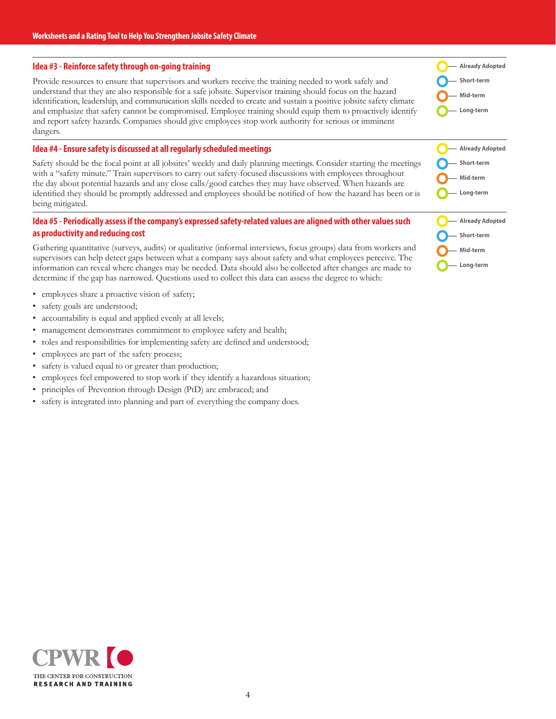#### **Idea #3 - Reinforce safety through on-going training**

Provide resources to ensure that supervisors and workers receive the training needed to work safely and understand that they are also responsible for a safe jobsite. Supervisor training should focus on the hazard identification, leadership, and communication skills needed to create and sustain a positive jobsite safety climate and emphasize that safety cannot be compromised. Employee training should equip them to proactively identify and report safety hazards. Companies should give employees stop work authority for serious or imminent dangers.

#### **Idea #4 - Ensure safety is discussed at all regularly scheduled meetings**

Safety should be the focal point at all jobsites' weekly and daily planning meetings. Consider starting the meetings with a "safety minute." Train supervisors to carry out safety-focused discussions with employees throughout the day about potential hazards and any close calls/good catches they may have observed. When hazards are identified they should be promptly addressed and employees should be notified of how the hazard has been or is being mitigated.

#### **Idea #5 - Periodically assess if the company's expressed safety-related values are aligned with other values such as productivity and reducing cost**

Gathering quantitative (surveys, audits) or qualitative (informal interviews, focus groups) data from workers and supervisors can help detect gaps between what a company says about safety and what employees perceive. The information can reveal where changes may be needed. Data should also be collected after changes are made to determine if the gap has narrowed. Questions used to collect this data can assess the degree to which:

- employees share a proactive vision of safety;
- safety goals are understood;
- accountability is equal and applied evenly at all levels;
- management demonstrates commitment to employee safety and health;
- roles and responsibilities for implementing safety are defined and understood;
- employees are part of the safety process;
- safety is valued equal to or greater than production;
- employees feel empowered to stop work if they identify a hazardous situation;
- principles of Prevention through Design (PtD) are embraced; and
- safety is integrated into planning and part of everything the company does.

| <b>Already Adopted</b> |
|------------------------|
| - Short-term           |
| Mid-term               |
| Long-term              |



- **Mid-term**
- **Long-term**

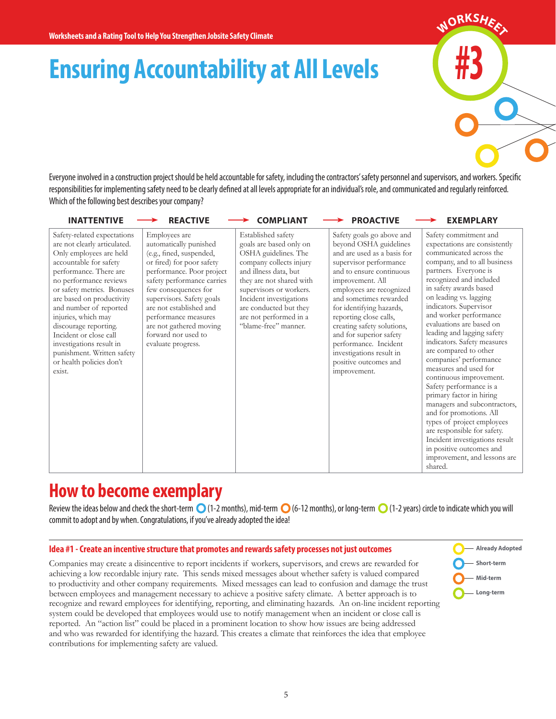# **Ensuring Accountability at All Levels**



Everyone involved in a construction project should be held accountable for safety, including the contractors' safety personnel and supervisors, and workers. Specific responsibilities for implementing safety need to be clearly defined at all levels appropriate for an individual's role, and communicated and regularly reinforced. Which of the following best describes your company?

| <b>INATTENTIVE</b>                                                                                                                                                                                                                                                                                                                                                                                                                  | <b>REACTIVE</b>                                                                                                                                                                                                                                                                                                                             | <b>COMPLIANT</b>                                                                                                                                                                                                                                                                        | <b>PROACTIVE</b>                                                                                                                                                                                                                                                                                                                                                                                                                | <b>EXEMPLARY</b>                                                                                                                                                                                                                                                                                                                                                                                                                                                                                                                                                                                                                                                                                                                                                      |
|-------------------------------------------------------------------------------------------------------------------------------------------------------------------------------------------------------------------------------------------------------------------------------------------------------------------------------------------------------------------------------------------------------------------------------------|---------------------------------------------------------------------------------------------------------------------------------------------------------------------------------------------------------------------------------------------------------------------------------------------------------------------------------------------|-----------------------------------------------------------------------------------------------------------------------------------------------------------------------------------------------------------------------------------------------------------------------------------------|---------------------------------------------------------------------------------------------------------------------------------------------------------------------------------------------------------------------------------------------------------------------------------------------------------------------------------------------------------------------------------------------------------------------------------|-----------------------------------------------------------------------------------------------------------------------------------------------------------------------------------------------------------------------------------------------------------------------------------------------------------------------------------------------------------------------------------------------------------------------------------------------------------------------------------------------------------------------------------------------------------------------------------------------------------------------------------------------------------------------------------------------------------------------------------------------------------------------|
| Safety-related expectations<br>are not clearly articulated.<br>Only employees are held<br>accountable for safety<br>performance. There are<br>no performance reviews<br>or safety metrics. Bonuses<br>are based on productivity<br>and number of reported<br>injuries, which may<br>discourage reporting.<br>Incident or close call<br>investigations result in<br>punishment. Written safety<br>or health policies don't<br>exist. | Employees are<br>automatically punished<br>(e.g., fined, suspended,<br>or fired) for poor safety<br>performance. Poor project<br>safety performance carries<br>few consequences for<br>supervisors. Safety goals<br>are not established and<br>performance measures<br>are not gathered moving<br>forward nor used to<br>evaluate progress. | Established safety<br>goals are based only on<br>OSHA guidelines. The<br>company collects injury<br>and illness data, but<br>they are not shared with<br>supervisors or workers.<br>Incident investigations<br>are conducted but they<br>are not performed in a<br>"blame-free" manner. | Safety goals go above and<br>beyond OSHA guidelines<br>and are used as a basis for<br>supervisor performance<br>and to ensure continuous<br>improvement. All<br>employees are recognized<br>and sometimes rewarded<br>for identifying hazards,<br>reporting close calls,<br>creating safety solutions,<br>and for superior safety<br>performance. Incident<br>investigations result in<br>positive outcomes and<br>improvement. | Safety commitment and<br>expectations are consistently<br>communicated across the<br>company, and to all business<br>partners. Everyone is<br>recognized and included<br>in safety awards based<br>on leading vs. lagging<br>indicators. Supervisor<br>and worker performance<br>evaluations are based on<br>leading and lagging safety<br>indicators. Safety measures<br>are compared to other<br>companies' performance<br>measures and used for<br>continuous improvement.<br>Safety performance is a<br>primary factor in hiring<br>managers and subcontractors,<br>and for promotions. All<br>types of project employees<br>are responsible for safety.<br>Incident investigations result<br>in positive outcomes and<br>improvement, and lessons are<br>shared. |

## **How to become exemplary**

Review the ideas below and check the short-term  $\bigcirc$  (1-2 months), mid-term  $\bigcirc$  (6-12 months), or long-term  $\bigcirc$  (1-2 years) circle to indicate which you will commit to adopt and by when. Congratulations, if you've already adopted the idea!

#### **Idea #1 - Create an incentive structure that promotes and rewards safety processes not just outcomes**

Companies may create a disincentive to report incidents if workers, supervisors, and crews are rewarded for achieving a low recordable injury rate. This sends mixed messages about whether safety is valued compared to productivity and other company requirements. Mixed messages can lead to confusion and damage the trust between employees and management necessary to achieve a positive safety climate. A better approach is to recognize and reward employees for identifying, reporting, and eliminating hazards. An on-line incident reporting system could be developed that employees would use to notify management when an incident or close call is reported. An "action list" could be placed in a prominent location to show how issues are being addressed and who was rewarded for identifying the hazard. This creates a climate that reinforces the idea that employee contributions for implementing safety are valued.

**Already Adopted Short-term Mid-term Long-term**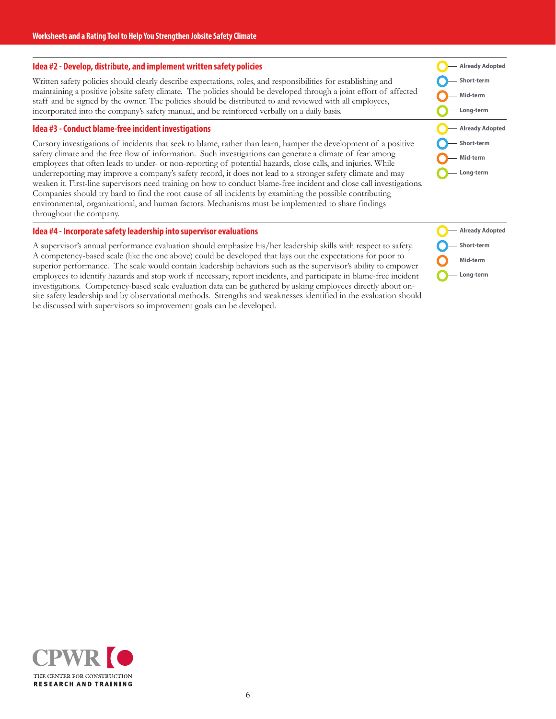#### **Idea #2 - Develop, distribute, and implement written safety policies**

Written safety policies should clearly describe expectations, roles, and responsibilities for establishing and maintaining a positive jobsite safety climate. The policies should be developed through a joint effort of affected staff and be signed by the owner. The policies should be distributed to and reviewed with all employees, incorporated into the company's safety manual, and be reinforced verbally on a daily basis.

#### **Idea #3 - Conduct blame-free incident investigations**

Cursory investigations of incidents that seek to blame, rather than learn, hamper the development of a positive safety climate and the free flow of information. Such investigations can generate a climate of fear among employees that often leads to under- or non-reporting of potential hazards, close calls, and injuries. While underreporting may improve a company's safety record, it does not lead to a stronger safety climate and may weaken it. First-line supervisors need training on how to conduct blame-free incident and close call investigations. Companies should try hard to find the root cause of all incidents by examining the possible contributing environmental, organizational, and human factors. Mechanisms must be implemented to share findings throughout the company.

#### **Idea #4 - Incorporate safety leadership into supervisor evaluations**

A supervisor's annual performance evaluation should emphasize his/her leadership skills with respect to safety. A competency-based scale (like the one above) could be developed that lays out the expectations for poor to superior performance. The scale would contain leadership behaviors such as the supervisor's ability to empower employees to identify hazards and stop work if necessary, report incidents, and participate in blame-free incident investigations. Competency-based scale evaluation data can be gathered by asking employees directly about onsite safety leadership and by observational methods. Strengths and weaknesses identified in the evaluation should be discussed with supervisors so improvement goals can be developed.

**Already Adopted Short-term Mid-term Long-term Already Adopted Short-term Mid-term Long-term**



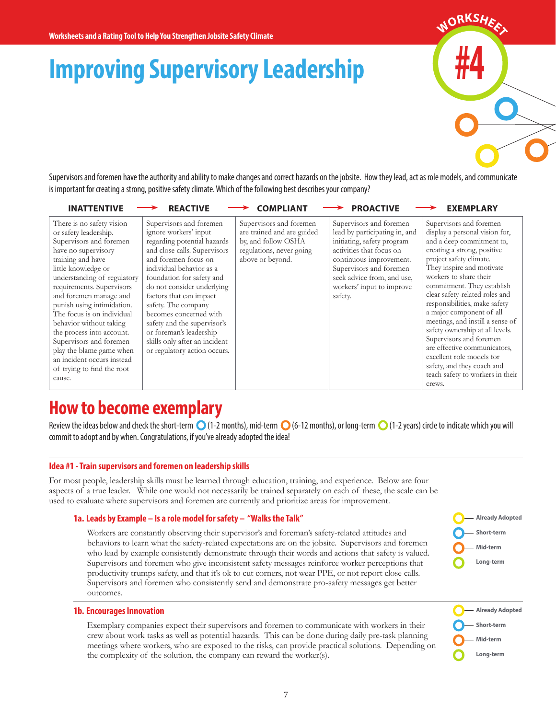# **Improving Supervisory Leadership**

**#4**  $M$ ORKSH<sub>EE</sub>

Supervisors and foremen have the authority and ability to make changes and correct hazards on the jobsite. How they lead, act as role models, and communicate is important for creating a strong, positive safety climate. Which of the following best describes your company?

| <b>INATTENTIVE</b>                                                                                                                                                                                                                                                                                                                                                                                                                                                                      | <b>REACTIVE</b>                                                                                                                                                                                                                                                                                                                                                                                                                       | <b>COMPLIANT</b>                                                                                                             | <b>PROACTIVE</b>                                                                                                                                                                                                                               | <b>EXEMPLARY</b>                                                                                                                                                                                                                                                                                                                                                                                                                                                                                                                                                                |
|-----------------------------------------------------------------------------------------------------------------------------------------------------------------------------------------------------------------------------------------------------------------------------------------------------------------------------------------------------------------------------------------------------------------------------------------------------------------------------------------|---------------------------------------------------------------------------------------------------------------------------------------------------------------------------------------------------------------------------------------------------------------------------------------------------------------------------------------------------------------------------------------------------------------------------------------|------------------------------------------------------------------------------------------------------------------------------|------------------------------------------------------------------------------------------------------------------------------------------------------------------------------------------------------------------------------------------------|---------------------------------------------------------------------------------------------------------------------------------------------------------------------------------------------------------------------------------------------------------------------------------------------------------------------------------------------------------------------------------------------------------------------------------------------------------------------------------------------------------------------------------------------------------------------------------|
| There is no safety vision<br>or safety leadership.<br>Supervisors and foremen<br>have no supervisory<br>training and have<br>little knowledge or<br>understanding of regulatory<br>requirements. Supervisors<br>and foremen manage and<br>punish using intimidation.<br>The focus is on individual<br>behavior without taking<br>the process into account.<br>Supervisors and foremen<br>play the blame game when<br>an incident occurs instead<br>of trying to find the root<br>cause. | Supervisors and foremen<br>ignore workers' input<br>regarding potential hazards<br>and close calls. Supervisors<br>and foremen focus on<br>individual behavior as a<br>foundation for safety and<br>do not consider underlying<br>factors that can impact<br>safety. The company<br>becomes concerned with<br>safety and the supervisor's<br>or foreman's leadership<br>skills only after an incident<br>or regulatory action occurs. | Supervisors and foremen<br>are trained and are guided<br>by, and follow OSHA<br>regulations, never going<br>above or beyond. | Supervisors and foremen<br>lead by participating in, and<br>initiating, safety program<br>activities that focus on<br>continuous improvement.<br>Supervisors and foremen<br>seek advice from, and use,<br>workers' input to improve<br>safety. | Supervisors and foremen<br>display a personal vision for,<br>and a deep commitment to,<br>creating a strong, positive<br>project safety climate.<br>They inspire and motivate<br>workers to share their<br>commitment. They establish<br>clear safety-related roles and<br>responsibilities, make safety<br>a major component of all<br>meetings, and instill a sense of<br>safety ownership at all levels.<br>Supervisors and foremen<br>are effective communicators,<br>excellent role models for<br>safety, and they coach and<br>teach safety to workers in their<br>crews. |
|                                                                                                                                                                                                                                                                                                                                                                                                                                                                                         |                                                                                                                                                                                                                                                                                                                                                                                                                                       |                                                                                                                              |                                                                                                                                                                                                                                                |                                                                                                                                                                                                                                                                                                                                                                                                                                                                                                                                                                                 |

## **How to become exemplary**

Review the ideas below and check the short-term  $\bigcirc$  (1-2 months), mid-term  $\bigcirc$  (6-12 months), or long-term  $\bigcirc$  (1-2 years) circle to indicate which you will commit to adopt and by when. Congratulations, if you've already adopted the idea!

#### **Idea #1 - Train supervisors and foremen on leadership skills**

For most people, leadership skills must be learned through education, training, and experience. Below are four aspects of a true leader. While one would not necessarily be trained separately on each of these, the scale can be used to evaluate where supervisors and foremen are currently and prioritize areas for improvement.

#### **1a. Leads by Example – Is a role model for safety – "Walks the Talk"**

Workers are constantly observing their supervisor's and foreman's safety-related attitudes and behaviors to learn what the safety-related expectations are on the jobsite. Supervisors and foremen who lead by example consistently demonstrate through their words and actions that safety is valued. Supervisors and foremen who give inconsistent safety messages reinforce worker perceptions that productivity trumps safety, and that it's ok to cut corners, not wear PPE, or not report close calls. Supervisors and foremen who consistently send and demonstrate pro-safety messages get better outcomes.



**Already Adopted Short-term Mid-term Long-term**

#### **1b. Encourages Innovation**

Exemplary companies expect their supervisors and foremen to communicate with workers in their crew about work tasks as well as potential hazards. This can be done during daily pre-task planning meetings where workers, who are exposed to the risks, can provide practical solutions. Depending on the complexity of the solution, the company can reward the worker(s).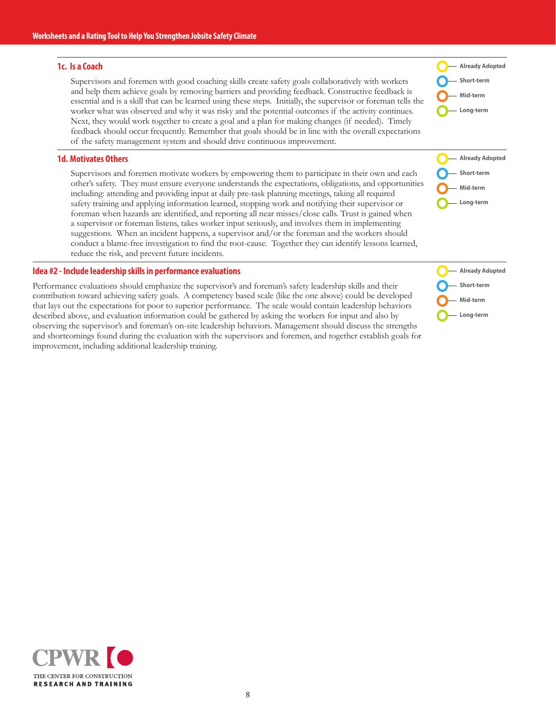#### **1c. Is a Coach**

Supervisors and foremen with good coaching skills create safety goals collaboratively with workers and help them achieve goals by removing barriers and providing feedback. Constructive feedback is essential and is a skill that can be learned using these steps. Initially, the supervisor or foreman tells the worker what was observed and why it was risky and the potential outcomes if the activity continues. Next, they would work together to create a goal and a plan for making changes (if needed). Timely feedback should occur frequently. Remember that goals should be in line with the overall expectations of the safety management system and should drive continuous improvement.

#### **1d. Motivates Others**

Supervisors and foremen motivate workers by empowering them to participate in their own and each other's safety. They must ensure everyone understands the expectations, obligations, and opportunities including: attending and providing input at daily pre-task planning meetings, taking all required safety training and applying information learned, stopping work and notifying their supervisor or foreman when hazards are identified, and reporting all near misses/close calls. Trust is gained when a supervisor or foreman listens, takes worker input seriously, and involves them in implementing suggestions. When an incident happens, a supervisor and/or the foreman and the workers should conduct a blame-free investigation to find the root-cause. Together they can identify lessons learned, reduce the risk, and prevent future incidents.

#### **Idea #2 - Include leadership skills in performance evaluations**

Performance evaluations should emphasize the supervisor's and foreman's safety leadership skills and their contribution toward achieving safety goals. A competency based scale (like the one above) could be developed that lays out the expectations for poor to superior performance. The scale would contain leadership behaviors described above, and evaluation information could be gathered by asking the workers for input and also by observing the supervisor's and foreman's on-site leadership behaviors. Management should discuss the strengths and shortcomings found during the evaluation with the supervisors and foremen, and together establish goals for improvement, including additional leadership training.

**Already Adopted Short-term Mid-term Long-term**

**Already Adopted Short-term Mid-term Long-term**

**Already Adopted Short-term Mid-term Long-term**

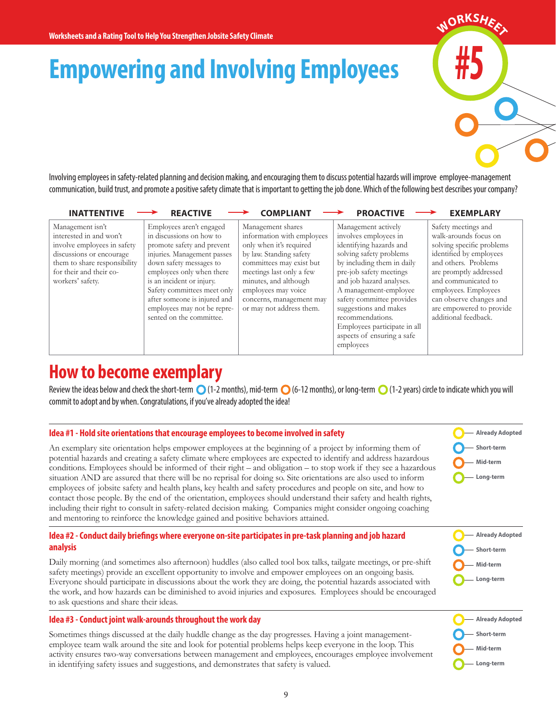# **Empowering and Involving Employees**

Involving employees in safety-related planning and decision making, and encouraging them to discuss potential hazards will improve employee-management communication, build trust, and promote a positive safety climate that is important to getting the job done. Which of the following best describes your company?

| <b>INATTENTIVE</b>                                                                                                                                                                    | <b>REACTIVE</b>                                                                                                                                                                                                                                                                                                                  | <b>COMPLIANT</b>                                                                                                                                                                                                                                                      | <b>PROACTIVE</b>                                                                                                                                                                                                                                                                                                                                                      | <b>EXEMPLARY</b>                                                                                                                                                                                                                                                                     |
|---------------------------------------------------------------------------------------------------------------------------------------------------------------------------------------|----------------------------------------------------------------------------------------------------------------------------------------------------------------------------------------------------------------------------------------------------------------------------------------------------------------------------------|-----------------------------------------------------------------------------------------------------------------------------------------------------------------------------------------------------------------------------------------------------------------------|-----------------------------------------------------------------------------------------------------------------------------------------------------------------------------------------------------------------------------------------------------------------------------------------------------------------------------------------------------------------------|--------------------------------------------------------------------------------------------------------------------------------------------------------------------------------------------------------------------------------------------------------------------------------------|
| Management isn't<br>interested in and won't<br>involve employees in safety<br>discussions or encourage<br>them to share responsibility<br>for their and their co-<br>workers' safety. | Employees aren't engaged<br>in discussions on how to<br>promote safety and prevent<br>injuries. Management passes<br>down safety messages to<br>employees only when there<br>is an incident or injury.<br>Safety committees meet only<br>after someone is injured and<br>employees may not be repre-<br>sented on the committee. | Management shares<br>information with employees<br>only when it's required<br>by law. Standing safety<br>committees may exist but<br>meetings last only a few<br>minutes, and although<br>employees may voice<br>concerns, management may<br>or may not address them. | Management actively<br>involves employees in<br>identifying hazards and<br>solving safety problems<br>by including them in daily<br>pre-job safety meetings<br>and job hazard analyses.<br>A management-employee<br>safety committee provides<br>suggestions and makes<br>recommendations.<br>Employees participate in all<br>aspects of ensuring a safe<br>employees | Safety meetings and<br>walk-arounds focus on<br>solving specific problems<br>identified by employees<br>and others. Problems<br>are promptly addressed<br>and communicated to<br>employees. Employees<br>can observe changes and<br>are empowered to provide<br>additional feedback. |
|                                                                                                                                                                                       |                                                                                                                                                                                                                                                                                                                                  |                                                                                                                                                                                                                                                                       |                                                                                                                                                                                                                                                                                                                                                                       |                                                                                                                                                                                                                                                                                      |

## **How to become exemplary**

Review the ideas below and check the short-term  $\bigcirc$  (1-2 months), mid-term  $\bigcirc$  (6-12 months), or long-term  $\bigcirc$  (1-2 years) circle to indicate which you will commit to adopt and by when. Congratulations, if you've already adopted the idea!

#### **Idea #1 - Hold site orientations that encourage employees to become involved in safety**

An exemplary site orientation helps empower employees at the beginning of a project by informing them of potential hazards and creating a safety climate where employees are expected to identify and address hazardous conditions. Employees should be informed of their right – and obligation – to stop work if they see a hazardous situation AND are assured that there will be no reprisal for doing so. Site orientations are also used to inform employees of jobsite safety and health plans, key health and safety procedures and people on site, and how to contact those people. By the end of the orientation, employees should understand their safety and health rights, including their right to consult in safety-related decision making. Companies might consider ongoing coaching and mentoring to reinforce the knowledge gained and positive behaviors attained.

#### **Idea #2 - Conduct daily briefings where everyone on-site participates in pre-task planning and job hazard analysis**

Daily morning (and sometimes also afternoon) huddles (also called tool box talks, tailgate meetings, or pre-shift safety meetings) provide an excellent opportunity to involve and empower employees on an ongoing basis. Everyone should participate in discussions about the work they are doing, the potential hazards associated with the work, and how hazards can be diminished to avoid injuries and exposures. Employees should be encouraged to ask questions and share their ideas.

#### **Idea #3 - Conduct joint walk-arounds throughout the work day**

Sometimes things discussed at the daily huddle change as the day progresses. Having a joint managementemployee team walk around the site and look for potential problems helps keep everyone in the loop. This activity ensures two-way conversations between management and employees, encourages employee involvement in identifying safety issues and suggestions, and demonstrates that safety is valued.

**Already Adopted Short-term Mid-term Long-term**

**#5**

 $M$ ORKSH<sub>EE</sub>

**Already Adopted Short-term Mid-term Long-term**

**Already Adopted**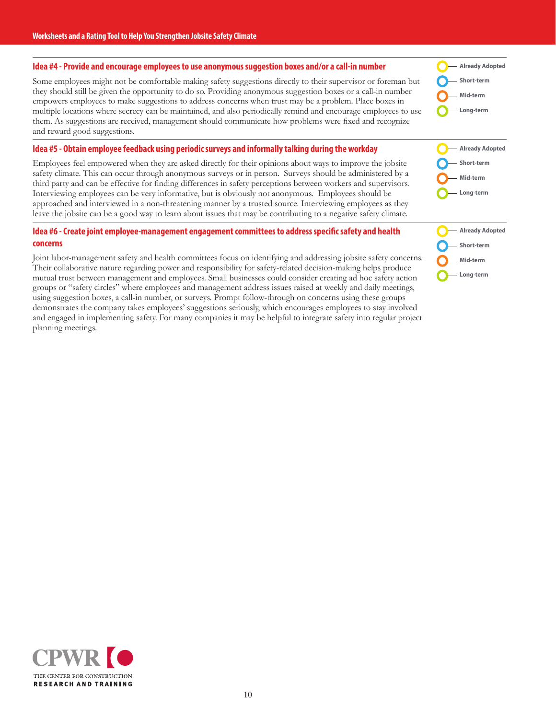#### **Idea #4 - Provide and encourage employees to use anonymous suggestion boxes and/or a call-in number**

Some employees might not be comfortable making safety suggestions directly to their supervisor or foreman but they should still be given the opportunity to do so. Providing anonymous suggestion boxes or a call-in number empowers employees to make suggestions to address concerns when trust may be a problem. Place boxes in multiple locations where secrecy can be maintained, and also periodically remind and encourage employees to use them. As suggestions are received, management should communicate how problems were fixed and recognize and reward good suggestions.

#### **Idea #5 - Obtain employee feedback using periodic surveys and informally talking during the workday**

Employees feel empowered when they are asked directly for their opinions about ways to improve the jobsite safety climate. This can occur through anonymous surveys or in person. Surveys should be administered by a third party and can be effective for finding differences in safety perceptions between workers and supervisors. Interviewing employees can be very informative, but is obviously not anonymous. Employees should be approached and interviewed in a non-threatening manner by a trusted source. Interviewing employees as they leave the jobsite can be a good way to learn about issues that may be contributing to a negative safety climate.

#### **Idea #6 - Create joint employee-management engagement committees to address specific safety and health concerns**

Joint labor-management safety and health committees focus on identifying and addressing jobsite safety concerns. Their collaborative nature regarding power and responsibility for safety-related decision-making helps produce mutual trust between management and employees. Small businesses could consider creating ad hoc safety action groups or "safety circles" where employees and management address issues raised at weekly and daily meetings, using suggestion boxes, a call-in number, or surveys. Prompt follow-through on concerns using these groups demonstrates the company takes employees' suggestions seriously, which encourages employees to stay involved and engaged in implementing safety. For many companies it may be helpful to integrate safety into regular project planning meetings.

**Already Adopted Short-term Mid-term Long-term**



**Already Adopted Short-term Mid-term Long-term**

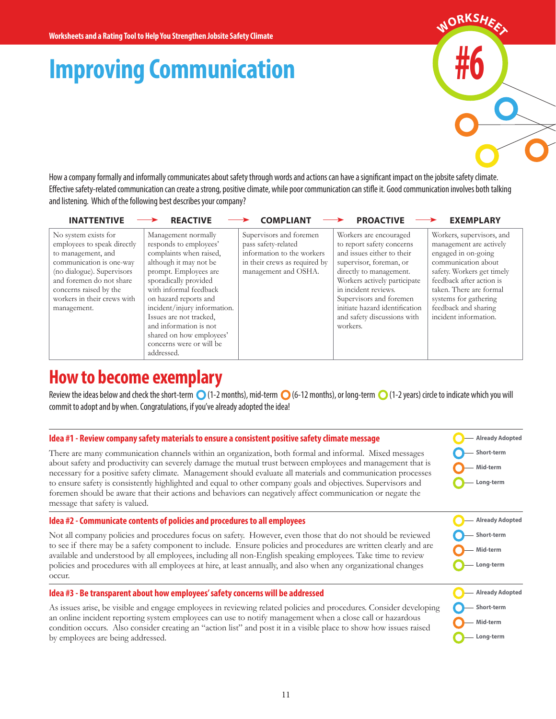# **Improving Communication**

**#6**  $M$ ORKSH<sub>EE</sub>

How a company formally and informally communicates about safety through words and actions can have a significant impact on the jobsite safety climate. Effective safety-related communication can create a strong, positive climate, while poor communication can stifle it. Good communication involves both talking and listening. Which of the following best describes your company?

| <b>INATTENTIVE</b>                                                                                                                                                                                                                      | <b>REACTIVE</b>                                                                                                                                                                                                                                                                                                                                                    | <b>COMPLIANT</b>                                                                                                                      | <b>PROACTIVE</b>                                                                                                                                                                                                                                                                                        | <b>EXEMPLARY</b>                                                                                                                                                                                                                                                  |
|-----------------------------------------------------------------------------------------------------------------------------------------------------------------------------------------------------------------------------------------|--------------------------------------------------------------------------------------------------------------------------------------------------------------------------------------------------------------------------------------------------------------------------------------------------------------------------------------------------------------------|---------------------------------------------------------------------------------------------------------------------------------------|---------------------------------------------------------------------------------------------------------------------------------------------------------------------------------------------------------------------------------------------------------------------------------------------------------|-------------------------------------------------------------------------------------------------------------------------------------------------------------------------------------------------------------------------------------------------------------------|
| No system exists for<br>employees to speak directly<br>to management, and<br>communication is one-way<br>(no dialogue). Supervisors<br>and foremen do not share<br>concerns raised by the<br>workers in their crews with<br>management. | Management normally<br>responds to employees'<br>complaints when raised,<br>although it may not be<br>prompt. Employees are<br>sporadically provided<br>with informal feedback<br>on hazard reports and<br>incident/injury information.<br>Issues are not tracked,<br>and information is not<br>shared on how employees'<br>concerns were or will be<br>addressed. | Supervisors and foremen<br>pass safety-related<br>information to the workers<br>in their crews as required by<br>management and OSHA. | Workers are encouraged<br>to report safety concerns<br>and issues either to their<br>supervisor, foreman, or<br>directly to management.<br>Workers actively participate<br>in incident reviews.<br>Supervisors and foremen<br>initiate hazard identification<br>and safety discussions with<br>workers. | Workers, supervisors, and<br>management are actively<br>engaged in on-going<br>communication about<br>safety. Workers get timely<br>feedback after action is<br>taken. There are formal<br>systems for gathering<br>feedback and sharing<br>incident information. |

### **How to become exemplary**

Review the ideas below and check the short-term  $\bigcirc$  (1-2 months), mid-term  $\bigcirc$  (6-12 months), or long-term  $\bigcirc$  (1-2 years) circle to indicate which you will commit to adopt and by when. Congratulations, if you've already adopted the idea!

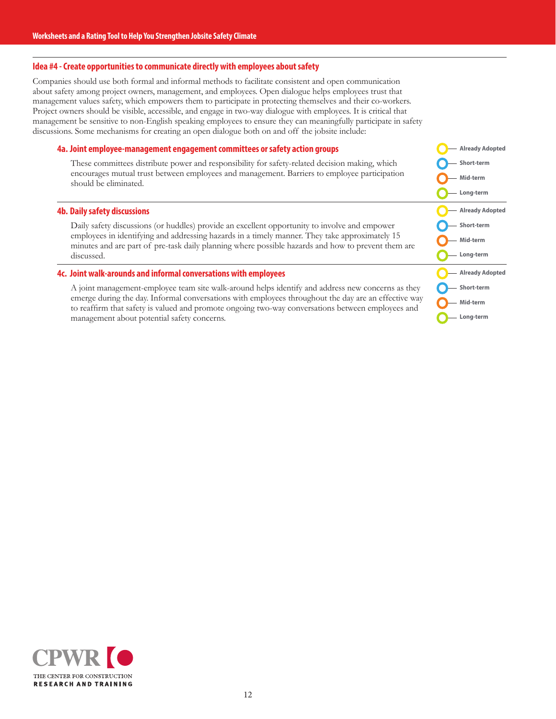#### **Idea #4 - Create opportunities to communicate directly with employees about safety**

Companies should use both formal and informal methods to facilitate consistent and open communication about safety among project owners, management, and employees. Open dialogue helps employees trust that management values safety, which empowers them to participate in protecting themselves and their co-workers. Project owners should be visible, accessible, and engage in two-way dialogue with employees. It is critical that management be sensitive to non-English speaking employees to ensure they can meaningfully participate in safety discussions. Some mechanisms for creating an open dialogue both on and off the jobsite include:

#### **4a. Joint employee-management engagement committees or safety action groups**

These committees distribute power and responsibility for safety-related decision making, which encourages mutual trust between employees and management. Barriers to employee participation should be eliminated.

#### **4b. Daily safety discussions**

Daily safety discussions (or huddles) provide an excellent opportunity to involve and empower employees in identifying and addressing hazards in a timely manner. They take approximately 15 minutes and are part of pre-task daily planning where possible hazards and how to prevent them are discussed.

#### **4c. Joint walk-arounds and informal conversations with employees**

A joint management-employee team site walk-around helps identify and address new concerns as they emerge during the day. Informal conversations with employees throughout the day are an effective way to reaffirm that safety is valued and promote ongoing two-way conversations between employees and management about potential safety concerns.

**Already Adopted Short-term Mid-term Long-term Already Adopted Short-term Mid-term Long-term Already Adopted Short-term Mid-term Long-term**

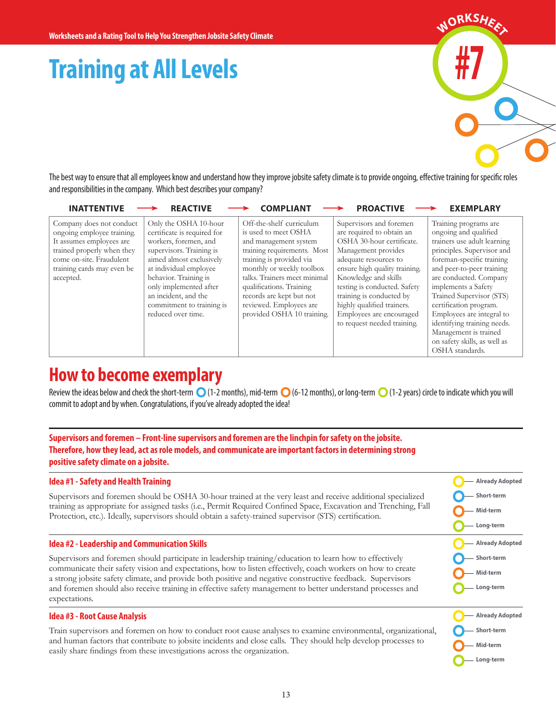# **Training at All Levels**



The best way to ensure that all employees know and understand how they improve jobsite safety climate is to provide ongoing, effective training for specific roles and responsibilities in the company. Which best describes your company?

| <b>INATTENTIVE</b>                                                                                                                                                                      | <b>REACTIVE</b>                                                                                                                                                                                                                                                                               | <b>COMPLIAN1</b>                                                                                                                                                                                                                                                                                                   | <b>PROACTIVE</b>                                                                                                                                                                                                                                                                                                                                | <b>EXEMPLARY</b>                                                                                                                                                                                                                                                                                                                                                                                                     |
|-----------------------------------------------------------------------------------------------------------------------------------------------------------------------------------------|-----------------------------------------------------------------------------------------------------------------------------------------------------------------------------------------------------------------------------------------------------------------------------------------------|--------------------------------------------------------------------------------------------------------------------------------------------------------------------------------------------------------------------------------------------------------------------------------------------------------------------|-------------------------------------------------------------------------------------------------------------------------------------------------------------------------------------------------------------------------------------------------------------------------------------------------------------------------------------------------|----------------------------------------------------------------------------------------------------------------------------------------------------------------------------------------------------------------------------------------------------------------------------------------------------------------------------------------------------------------------------------------------------------------------|
| Company does not conduct<br>ongoing employee training.<br>It assumes employees are<br>trained properly when they<br>come on-site. Fraudulent<br>training cards may even be<br>accepted. | Only the OSHA 10-hour<br>certificate is required for<br>workers, foremen, and<br>supervisors. Training is<br>aimed almost exclusively<br>at individual employee<br>behavior. Training is<br>only implemented after<br>an incident, and the<br>commitment to training is<br>reduced over time. | Off-the-shelf curriculum<br>is used to meet OSHA<br>and management system<br>training requirements. Most<br>training is provided via<br>monthly or weekly toolbox<br>talks. Trainers meet minimal<br>qualifications. Training<br>records are kept but not<br>reviewed. Employees are<br>provided OSHA 10 training. | Supervisors and foremen<br>are required to obtain an<br>OSHA 30-hour certificate.<br>Management provides<br>adequate resources to<br>ensure high quality training.<br>Knowledge and skills<br>testing is conducted. Safety<br>training is conducted by<br>highly qualified trainers.<br>Employees are encouraged<br>to request needed training. | Training programs are<br>ongoing and qualified<br>trainers use adult learning<br>principles. Supervisor and<br>foreman-specific training<br>and peer-to-peer training<br>are conducted. Company<br>implements a Safety<br>Trained Supervisor (STS)<br>certification program.<br>Employees are integral to<br>identifying training needs.<br>Management is trained<br>on safety skills, as well as<br>OSHA standards. |

## **How to become exemplary**

Review the ideas below and check the short-term  $\bigcirc$  (1-2 months), mid-term  $\bigcirc$  (6-12 months), or long-term  $\bigcirc$  (1-2 years) circle to indicate which you will commit to adopt and by when. Congratulations, if you've already adopted the idea!

**Supervisors and foremen – Front-line supervisors and foremen are the linchpin for safety on the jobsite. Therefore, how they lead, act as role models, and communicate are important factors in determining strong positive safety climate on a jobsite.** 

#### **Idea #1 - Safety and Health Training**

Supervisors and foremen should be OSHA 30-hour trained at the very least and receive additional specialized training as appropriate for assigned tasks (i.e., Permit Required Confined Space, Excavation and Trenching, Fall Protection, etc.). Ideally, supervisors should obtain a safety-trained supervisor (STS) certification.

#### **Idea #2 - Leadership and Communication Skills**

Supervisors and foremen should participate in leadership training/education to learn how to effectively communicate their safety vision and expectations, how to listen effectively, coach workers on how to create a strong jobsite safety climate, and provide both positive and negative constructive feedback. Supervisors and foremen should also receive training in effective safety management to better understand processes and expectations.

#### **Idea #3 - Root Cause Analysis**

Train supervisors and foremen on how to conduct root cause analyses to examine environmental, organizational, and human factors that contribute to jobsite incidents and close calls. They should help develop processes to easily share findings from these investigations across the organization.

**Long-term**

**Already Adopted Short-term Mid-term Long-term**

**Already Adopted Short-term Mid-term Long-term**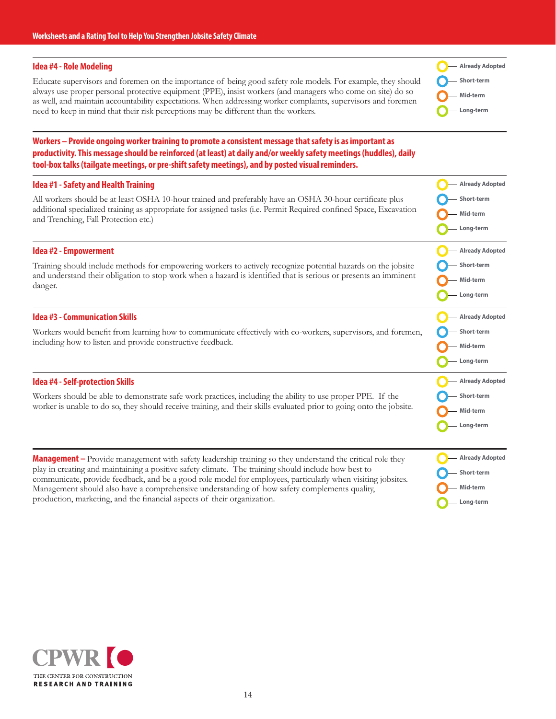#### **Idea #4 - Role Modeling**

Educate supervisors and foremen on the importance of being good safety role models. For example, they should always use proper personal protective equipment (PPE), insist workers (and managers who come on site) do so as well, and maintain accountability expectations. When addressing worker complaints, supervisors and foremen need to keep in mind that their risk perceptions may be different than the workers.

**Already Adopted Short-term Mid-term Long-term**

#### **Workers – Provide ongoing worker training to promote a consistent message that safety is as important as productivity. This message should be reinforced (at least) at daily and/or weekly safety meetings (huddles), daily tool-box talks (tailgate meetings, or pre-shift safety meetings), and by posted visual reminders.**

| Idea #1 - Safety and Health Training                                                                                                                                                                                           | <b>Already Adopted</b> |
|--------------------------------------------------------------------------------------------------------------------------------------------------------------------------------------------------------------------------------|------------------------|
| All workers should be at least OSHA 10-hour trained and preferably have an OSHA 30-hour certificate plus<br>additional specialized training as appropriate for assigned tasks (i.e. Permit Required confined Space, Excavation | Short-term             |
| and Trenching, Fall Protection etc.)                                                                                                                                                                                           | Mid-term               |
|                                                                                                                                                                                                                                | Long-term              |
| Idea #2 - Empowerment                                                                                                                                                                                                          | <b>Already Adopted</b> |
| Training should include methods for empowering workers to actively recognize potential hazards on the jobsite                                                                                                                  | Short-term             |
| and understand their obligation to stop work when a hazard is identified that is serious or presents an imminent<br>danger.                                                                                                    | Mid-term               |
|                                                                                                                                                                                                                                | Long-term              |
| <b>Idea #3 - Communication Skills</b>                                                                                                                                                                                          | <b>Already Adopted</b> |
| Workers would benefit from learning how to communicate effectively with co-workers, supervisors, and foremen,                                                                                                                  | Short-term             |
| including how to listen and provide constructive feedback.                                                                                                                                                                     | Mid-term               |
|                                                                                                                                                                                                                                | Long-term              |
| <b>Idea #4 - Self-protection Skills</b>                                                                                                                                                                                        | <b>Already Adopted</b> |
| Workers should be able to demonstrate safe work practices, including the ability to use proper PPE. If the                                                                                                                     | Short-term             |
| worker is unable to do so, they should receive training, and their skills evaluated prior to going onto the jobsite.                                                                                                           | Mid-term               |
|                                                                                                                                                                                                                                | Long-term              |
|                                                                                                                                                                                                                                |                        |
| <b>Management</b> – Provide management with safety leadership training so they understand the critical role they<br>play in creating and maintaining a positive safety climate. The training should include how best to        | <b>Already Adopted</b> |
| communicate, provide feedback, and be a good role model for employees, particularly when visiting jobsites.                                                                                                                    | Short-term             |
| Management should also have a comprehensive understanding of how safety complements quality,<br>production, marketing, and the financial aspects of their organization.                                                        | Mid-term               |
|                                                                                                                                                                                                                                | Long-term              |

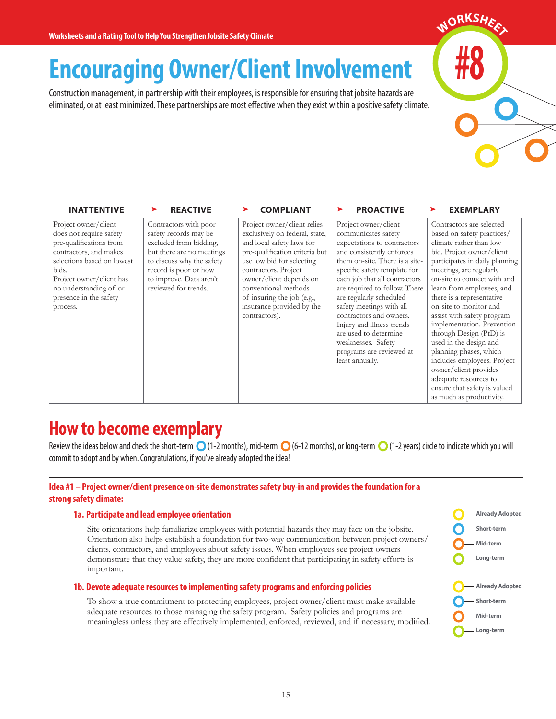## **Encouraging Owner/Client Involvement**

Construction management, in partnership with their employees, is responsible for ensuring that jobsite hazards are eliminated, or at least minimized. These partnerships are most effective when they exist within a positive safety climate.

| <b>INATTENTIVE</b>                                                                                                                                                                                                                      | <b>REACTIVE</b>                                                                                                                                                                                                | <b>COMPLIANT</b>                                                                                                                                                                                                                                                                                                 | <b>PROACTIVE</b>                                                                                                                                                                                                                                                                                                                                                                                                                                         | <b>EXEMPLARY</b>                                                                                                                                                                                                                                                                                                                                                                                                                                                                                                                                                                       |
|-----------------------------------------------------------------------------------------------------------------------------------------------------------------------------------------------------------------------------------------|----------------------------------------------------------------------------------------------------------------------------------------------------------------------------------------------------------------|------------------------------------------------------------------------------------------------------------------------------------------------------------------------------------------------------------------------------------------------------------------------------------------------------------------|----------------------------------------------------------------------------------------------------------------------------------------------------------------------------------------------------------------------------------------------------------------------------------------------------------------------------------------------------------------------------------------------------------------------------------------------------------|----------------------------------------------------------------------------------------------------------------------------------------------------------------------------------------------------------------------------------------------------------------------------------------------------------------------------------------------------------------------------------------------------------------------------------------------------------------------------------------------------------------------------------------------------------------------------------------|
| Project owner/client<br>does not require safety<br>pre-qualifications from<br>contractors, and makes<br>selections based on lowest<br>bids.<br>Project owner/client has<br>no understanding of or<br>presence in the safety<br>process. | Contractors with poor<br>safety records may be<br>excluded from bidding,<br>but there are no meetings<br>to discuss why the safety<br>record is poor or how<br>to improve. Data aren't<br>reviewed for trends. | Project owner/client relies<br>exclusively on federal, state,<br>and local safety laws for<br>pre-qualification criteria but<br>use low bid for selecting<br>contractors. Project<br>owner/client depends on<br>conventional methods<br>of insuring the job (e.g.,<br>insurance provided by the<br>contractors). | Project owner/client<br>communicates safety<br>expectations to contractors<br>and consistently enforces<br>them on-site. There is a site-<br>specific safety template for<br>each job that all contractors<br>are required to follow. There<br>are regularly scheduled<br>safety meetings with all<br>contractors and owners.<br>Injury and illness trends<br>are used to determine<br>weaknesses. Safety<br>programs are reviewed at<br>least annually. | Contractors are selected<br>based on safety practices/<br>climate rather than low<br>bid. Project owner/client<br>participates in daily planning<br>meetings, are regularly<br>on-site to connect with and<br>learn from employees, and<br>there is a representative<br>on-site to monitor and<br>assist with safety program<br>implementation. Prevention<br>through Design (PtD) is<br>used in the design and<br>planning phases, which<br>includes employees. Project<br>owner/client provides<br>adequate resources to<br>ensure that safety is valued<br>as much as productivity. |

## **How to become exemplary**

Review the ideas below and check the short-term  $\bigcirc$  (1-2 months), mid-term  $\bigcirc$  (6-12 months), or long-term  $\bigcirc$  (1-2 years) circle to indicate which you will commit to adopt and by when. Congratulations, if you've already adopted the idea!

#### **Idea #1 – Project owner/client presence on-site demonstrates safety buy-in and provides the foundation for a strong safety climate:**

#### **1a. Participate and lead employee orientation**

Site orientations help familiarize employees with potential hazards they may face on the jobsite. Orientation also helps establish a foundation for two-way communication between project owners/ clients, contractors, and employees about safety issues. When employees see project owners demonstrate that they value safety, they are more confident that participating in safety efforts is important.



**#8**

 $M$ ORKSH<sub>EE</sub>

#### **1b. Devote adequate resources to implementing safety programs and enforcing policies**

To show a true commitment to protecting employees, project owner/client must make available adequate resources to those managing the safety program. Safety policies and programs are meaningless unless they are effectively implemented, enforced, reviewed, and if necessary, modified.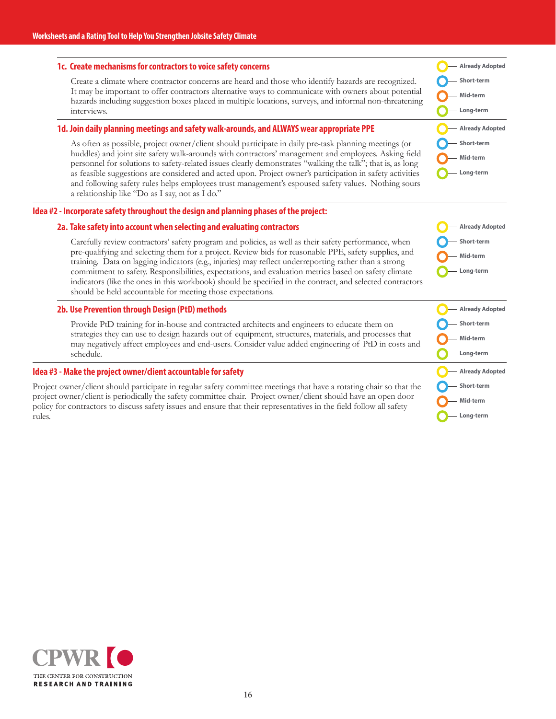#### **1c. Create mechanisms for contractors to voice safety concerns**

Create a climate where contractor concerns are heard and those who identify hazards are recognized. It may be important to offer contractors alternative ways to communicate with owners about potential hazards including suggestion boxes placed in multiple locations, surveys, and informal non-threatening interviews.

#### **1d. Join daily planning meetings and safety walk-arounds, and ALWAYS wear appropriate PPE**

As often as possible, project owner/client should participate in daily pre-task planning meetings (or huddles) and joint site safety walk-arounds with contractors' management and employees. Asking field personnel for solutions to safety-related issues clearly demonstrates "walking the talk"; that is, as long as feasible suggestions are considered and acted upon. Project owner's participation in safety activities and following safety rules helps employees trust management's espoused safety values. Nothing sours a relationship like "Do as I say, not as I do."

#### **Idea #2 - Incorporate safety throughout the design and planning phases of the project:**

#### **2a. Take safety into account when selecting and evaluating contractors**

Carefully review contractors' safety program and policies, as well as their safety performance, when pre-qualifying and selecting them for a project. Review bids for reasonable PPE, safety supplies, and training. Data on lagging indicators (e.g., injuries) may reflect underreporting rather than a strong commitment to safety. Responsibilities, expectations, and evaluation metrics based on safety climate indicators (like the ones in this workbook) should be specified in the contract, and selected contractors should be held accountable for meeting those expectations.

#### **2b. Use Prevention through Design (PtD) methods**

Provide PtD training for in-house and contracted architects and engineers to educate them on strategies they can use to design hazards out of equipment, structures, materials, and processes that may negatively affect employees and end-users. Consider value added engineering of PtD in costs and schedule.

#### **Idea #3 - Make the project owner/client accountable for safety**

Project owner/client should participate in regular safety committee meetings that have a rotating chair so that the project owner/client is periodically the safety committee chair. Project owner/client should have an open door policy for contractors to discuss safety issues and ensure that their representatives in the field follow all safety rules.

|              | — Already Adopted |
|--------------|-------------------|
| - Short-term |                   |
| — Mid-term   |                   |
| - Long-term  |                   |
|              | — Already Adopted |
| - Short-term |                   |
| - Mid-term   |                   |
| — Long-term  |                   |

**Already Adopted Short-term Mid-term Long-term**

| - Already Adopted |
|-------------------|
| - Short-term      |
| — Mid-term        |
| - Long-term       |
| — Already Adopted |
|                   |
| - Short-term      |
| Mid-term          |

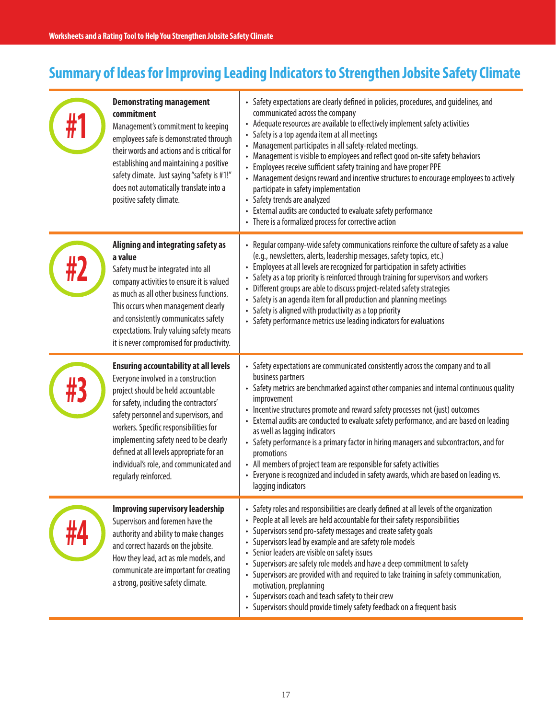## **Summary of Ideas for Improving Leading Indicators to Strengthen Jobsite Safety Climate**

| <b>Demonstrating management</b><br>commitment<br>Management's commitment to keeping<br>employees safe is demonstrated through<br>their words and actions and is critical for<br>establishing and maintaining a positive<br>safety climate. Just saying "safety is #1!"<br>does not automatically translate into a<br>positive safety climate.                                                                    | • Safety expectations are clearly defined in policies, procedures, and guidelines, and<br>communicated across the company<br>• Adequate resources are available to effectively implement safety activities<br>Safety is a top agenda item at all meetings<br>Management participates in all safety-related meetings.<br>Management is visible to employees and reflect good on-site safety behaviors<br>Employees receive sufficient safety training and have proper PPE<br>• Management designs reward and incentive structures to encourage employees to actively<br>participate in safety implementation<br>• Safety trends are analyzed<br>• External audits are conducted to evaluate safety performance<br>• There is a formalized process for corrective action |
|------------------------------------------------------------------------------------------------------------------------------------------------------------------------------------------------------------------------------------------------------------------------------------------------------------------------------------------------------------------------------------------------------------------|------------------------------------------------------------------------------------------------------------------------------------------------------------------------------------------------------------------------------------------------------------------------------------------------------------------------------------------------------------------------------------------------------------------------------------------------------------------------------------------------------------------------------------------------------------------------------------------------------------------------------------------------------------------------------------------------------------------------------------------------------------------------|
| Aligning and integrating safety as<br>a value<br>Safety must be integrated into all<br>company activities to ensure it is valued<br>as much as all other business functions.<br>This occurs when management clearly<br>and consistently communicates safety<br>expectations. Truly valuing safety means<br>it is never compromised for productivity.                                                             | • Regular company-wide safety communications reinforce the culture of safety as a value<br>(e.g., newsletters, alerts, leadership messages, safety topics, etc.)<br>• Employees at all levels are recognized for participation in safety activities<br>Safety as a top priority is reinforced through training for supervisors and workers<br>Different groups are able to discuss project-related safety strategies<br>Safety is an agenda item for all production and planning meetings<br>Safety is aligned with productivity as a top priority<br>Safety performance metrics use leading indicators for evaluations                                                                                                                                                |
| <b>Ensuring accountability at all levels</b><br>Everyone involved in a construction<br>project should be held accountable<br>for safety, including the contractors'<br>safety personnel and supervisors, and<br>workers. Specific responsibilities for<br>implementing safety need to be clearly<br>defined at all levels appropriate for an<br>individual's role, and communicated and<br>regularly reinforced. | • Safety expectations are communicated consistently across the company and to all<br>business partners<br>• Safety metrics are benchmarked against other companies and internal continuous quality<br>improvement<br>• Incentive structures promote and reward safety processes not (just) outcomes<br>• External audits are conducted to evaluate safety performance, and are based on leading<br>as well as lagging indicators<br>• Safety performance is a primary factor in hiring managers and subcontractors, and for<br>promotions<br>• All members of project team are responsible for safety activities<br>• Everyone is recognized and included in safety awards, which are based on leading vs.<br>lagging indicators                                       |
| <b>Improving supervisory leadership</b><br>Supervisors and foremen have the<br>authority and ability to make changes<br>and correct hazards on the jobsite.<br>How they lead, act as role models, and<br>communicate are important for creating<br>a strong, positive safety climate.                                                                                                                            | Safety roles and responsibilities are clearly defined at all levels of the organization<br>$\bullet$<br>People at all levels are held accountable for their safety responsibilities<br>Supervisors send pro-safety messages and create safety goals<br>Supervisors lead by example and are safety role models<br>Senior leaders are visible on safety issues<br>Supervisors are safety role models and have a deep commitment to safety<br>Supervisors are provided with and required to take training in safety communication,<br>motivation, preplanning<br>Supervisors coach and teach safety to their crew<br>$\bullet$<br>Supervisors should provide timely safety feedback on a frequent basis                                                                   |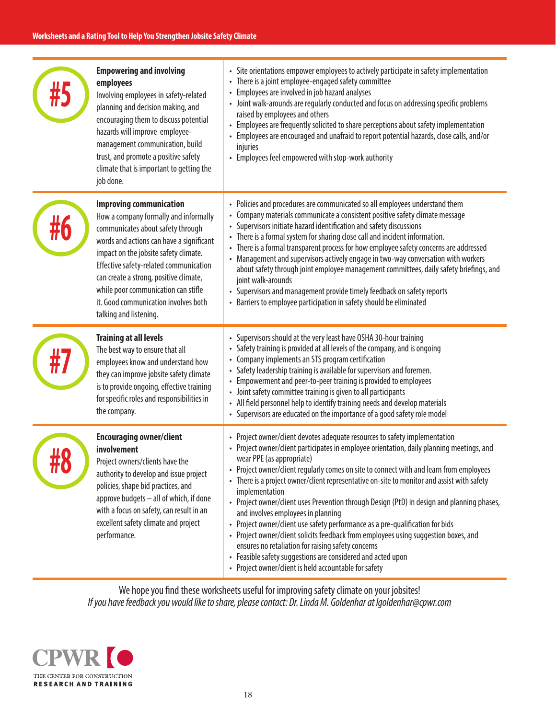| <b>Empowering and involving</b><br>employees<br>Involving employees in safety-related<br>planning and decision making, and<br>encouraging them to discuss potential<br>hazards will improve employee-<br>management communication, build<br>trust, and promote a positive safety<br>climate that is important to getting the<br>job done.                                                      | • Site orientations empower employees to actively participate in safety implementation<br>There is a joint employee-engaged safety committee<br>$\bullet$<br>Employees are involved in job hazard analyses<br>$\bullet$<br>• Joint walk-arounds are regularly conducted and focus on addressing specific problems<br>raised by employees and others<br>• Employees are frequently solicited to share perceptions about safety implementation<br>• Employees are encouraged and unafraid to report potential hazards, close calls, and/or<br>injuries<br>• Employees feel empowered with stop-work authority                                                                                                                                                                                                                                                                                             |
|------------------------------------------------------------------------------------------------------------------------------------------------------------------------------------------------------------------------------------------------------------------------------------------------------------------------------------------------------------------------------------------------|---------------------------------------------------------------------------------------------------------------------------------------------------------------------------------------------------------------------------------------------------------------------------------------------------------------------------------------------------------------------------------------------------------------------------------------------------------------------------------------------------------------------------------------------------------------------------------------------------------------------------------------------------------------------------------------------------------------------------------------------------------------------------------------------------------------------------------------------------------------------------------------------------------|
| <b>Improving communication</b><br>How a company formally and informally<br>communicates about safety through<br>words and actions can have a significant<br>impact on the jobsite safety climate.<br>Effective safety-related communication<br>can create a strong, positive climate,<br>while poor communication can stifle<br>it. Good communication involves both<br>talking and listening. | Policies and procedures are communicated so all employees understand them<br>$\bullet$<br>Company materials communicate a consistent positive safety climate message<br>$\bullet$<br>Supervisors initiate hazard identification and safety discussions<br>There is a formal system for sharing close call and incident information.<br>There is a formal transparent process for how employee safety concerns are addressed<br>Management and supervisors actively engage in two-way conversation with workers<br>about safety through joint employee management committees, daily safety briefings, and<br>joint walk-arounds<br>• Supervisors and management provide timely feedback on safety reports<br>Barriers to employee participation in safety should be eliminated                                                                                                                           |
| <b>Training at all levels</b><br>The best way to ensure that all<br>employees know and understand how<br>they can improve jobsite safety climate<br>is to provide ongoing, effective training<br>for specific roles and responsibilities in<br>the company.                                                                                                                                    | Supervisors should at the very least have OSHA 30-hour training<br>$\bullet$<br>Safety training is provided at all levels of the company, and is ongoing<br>Company implements an STS program certification<br>Safety leadership training is available for supervisors and foremen.<br>$\bullet$<br>Empowerment and peer-to-peer training is provided to employees<br>$\bullet$<br>• Joint safety committee training is given to all participants<br>• All field personnel help to identify training needs and develop materials<br>• Supervisors are educated on the importance of a good safety role model                                                                                                                                                                                                                                                                                            |
| <br><b>Encouraging owner/client</b><br>involvement<br>Project owners/clients have the<br>authority to develop and issue project<br>policies, shape bid practices, and<br>approve budgets - all of which, if done<br>with a focus on safety, can result in an<br>excellent safety climate and project<br>performance.                                                                           | • Project owner/client devotes adequate resources to safety implementation<br>• Project owner/client participates in employee orientation, daily planning meetings, and<br>wear PPE (as appropriate)<br>Project owner/client regularly comes on site to connect with and learn from employees<br>• There is a project owner/client representative on-site to monitor and assist with safety<br>implementation<br>• Project owner/client uses Prevention through Design (PtD) in design and planning phases,<br>and involves employees in planning<br>• Project owner/client use safety performance as a pre-qualification for bids<br>• Project owner/client solicits feedback from employees using suggestion boxes, and<br>ensures no retaliation for raising safety concerns<br>• Feasible safety suggestions are considered and acted upon<br>• Project owner/client is held accountable for safety |

We hope you find these worksheets useful for improving safety climate on your jobsites! *If you have feedback you would like to share, please contact: Dr. Linda M. Goldenhar at lgoldenhar@cpwr.com*

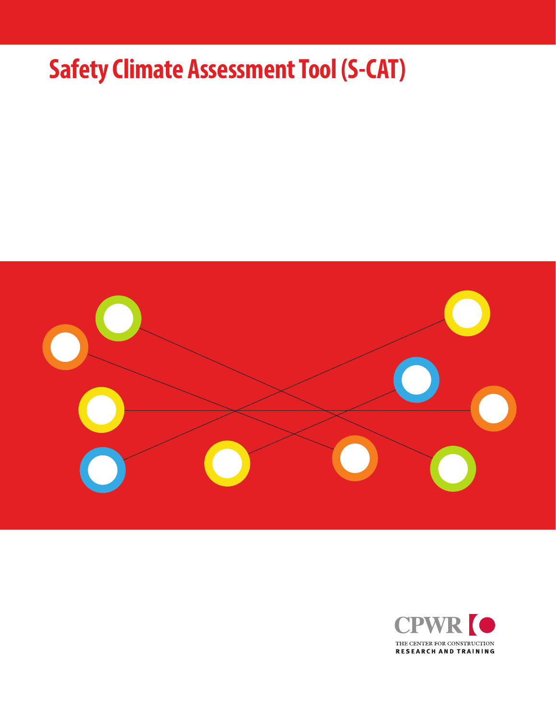# **Safety Climate Assessment Tool (S-CAT)**



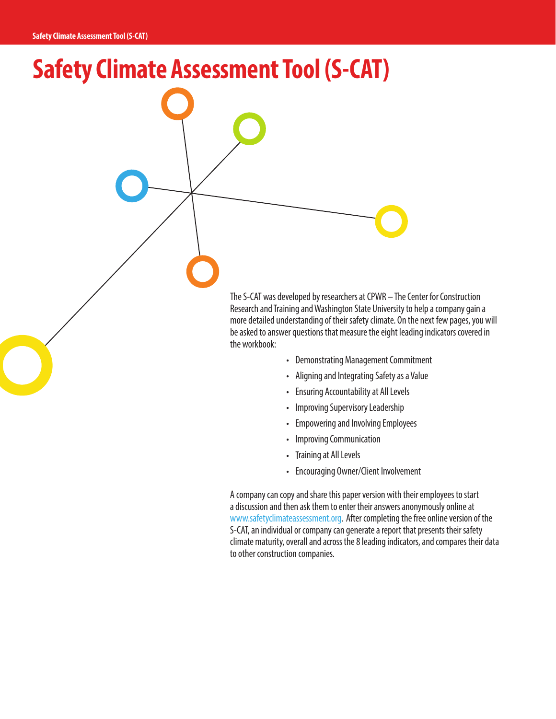**Safety Climate Assessment Tool (S-CAT)**

The S-CAT was developed by researchers at CPWR – The Center for Construction Research and Training and Washington State University to help a company gain a more detailed understanding of their safety climate. On the next few pages, you will be asked to answer questions that measure the eight leading indicators covered in the workbook:

- Demonstrating Management Commitment
- Aligning and Integrating Safety as a Value
- Ensuring Accountability at All Levels
- Improving Supervisory Leadership
- Empowering and Involving Employees
- Improving Communication
- Training at All Levels
- Encouraging Owner/Client Involvement

A company can copy and share this paper version with their employees to start a discussion and then ask them to enter their answers anonymously online at www.safetyclimateassessment.org. After completing the free online version of the S-CAT, an individual or company can generate a report that presents their safety climate maturity, overall and across the 8 leading indicators, and compares their data to other construction companies.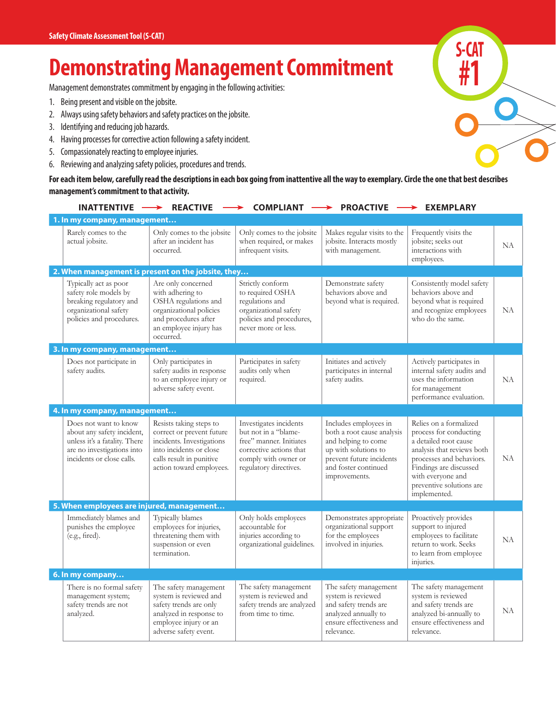## **Demonstrating Management Commitment**

Management demonstrates commitment by engaging in the following activities:

- 1. Being present and visible on the jobsite.
- 2. Always using safety behaviors and safety practices on the jobsite.
- 3. Identifying and reducing job hazards.
- 4. Having processes for corrective action following a safety incident.
- 5. Compassionately reacting to employee injuries.
- 6. Reviewing and analyzing safety policies, procedures and trends.

**For each item below, carefully read the descriptions in each box going from inattentive all the way to exemplary. Circle the one that best describes management's commitment to that activity.**

| <b>INATTENTIVE</b>                                                                                                                              | <b>REACTIVE</b>                                                                                                                                                      | <b>COMPLIANT</b>                                                                                                                                       | <b>PROACTIVE</b>                                                                                                                                                        | <b>EXEMPLARY</b>                                                                                                                                                                                                               |           |
|-------------------------------------------------------------------------------------------------------------------------------------------------|----------------------------------------------------------------------------------------------------------------------------------------------------------------------|--------------------------------------------------------------------------------------------------------------------------------------------------------|-------------------------------------------------------------------------------------------------------------------------------------------------------------------------|--------------------------------------------------------------------------------------------------------------------------------------------------------------------------------------------------------------------------------|-----------|
| 1. In my company, management                                                                                                                    |                                                                                                                                                                      |                                                                                                                                                        |                                                                                                                                                                         |                                                                                                                                                                                                                                |           |
| Rarely comes to the<br>actual jobsite.                                                                                                          | Only comes to the jobsite<br>after an incident has<br>occurred.                                                                                                      | Only comes to the jobsite<br>when required, or makes<br>infrequent visits.                                                                             | Makes regular visits to the<br>jobsite. Interacts mostly<br>with management.                                                                                            | Frequently visits the<br>jobsite; seeks out<br>interactions with<br>employees.                                                                                                                                                 | NA        |
|                                                                                                                                                 | 2. When management is present on the jobsite, they                                                                                                                   |                                                                                                                                                        |                                                                                                                                                                         |                                                                                                                                                                                                                                |           |
| Typically act as poor<br>safety role models by<br>breaking regulatory and<br>organizational safety<br>policies and procedures.                  | Are only concerned<br>with adhering to<br>OSHA regulations and<br>organizational policies<br>and procedures after<br>an employee injury has<br>occurred.             | Strictly conform<br>to required OSHA<br>regulations and<br>organizational safety<br>policies and procedures,<br>never more or less.                    | Demonstrate safety<br>behaviors above and<br>beyond what is required.                                                                                                   | Consistently model safety<br>behaviors above and<br>beyond what is required<br>and recognize employees<br>who do the same.                                                                                                     | NA        |
| 3. In my company, management                                                                                                                    |                                                                                                                                                                      |                                                                                                                                                        |                                                                                                                                                                         |                                                                                                                                                                                                                                |           |
| Does not participate in<br>safety audits.                                                                                                       | Only participates in<br>safety audits in response<br>to an employee injury or<br>adverse safety event.                                                               | Participates in safety<br>audits only when<br>required.                                                                                                | Initiates and actively<br>participates in internal<br>safety audits.                                                                                                    | Actively participates in<br>internal safety audits and<br>uses the information<br>for management<br>performance evaluation.                                                                                                    | NA        |
| 4. In my company, management                                                                                                                    |                                                                                                                                                                      |                                                                                                                                                        |                                                                                                                                                                         |                                                                                                                                                                                                                                |           |
| Does not want to know<br>about any safety incident,<br>unless it's a fatality. There<br>are no investigations into<br>incidents or close calls. | Resists taking steps to<br>correct or prevent future<br>incidents. Investigations<br>into incidents or close<br>calls result in punitive<br>action toward employees. | Investigates incidents<br>but not in a "blame-<br>free" manner. Initiates<br>corrective actions that<br>comply with owner or<br>regulatory directives. | Includes employees in<br>both a root cause analysis<br>and helping to come<br>up with solutions to<br>prevent future incidents<br>and foster continued<br>improvements. | Relies on a formalized<br>process for conducting<br>a detailed root cause<br>analysis that reviews both<br>processes and behaviors.<br>Findings are discussed<br>with everyone and<br>preventive solutions are<br>implemented. | NA        |
| 5. When employees are injured, management                                                                                                       |                                                                                                                                                                      |                                                                                                                                                        |                                                                                                                                                                         |                                                                                                                                                                                                                                |           |
| Immediately blames and<br>punishes the employee<br>(e.g., fired).                                                                               | Typically blames<br>employees for injuries,<br>threatening them with<br>suspension or even<br>termination.                                                           | Only holds employees<br>accountable for<br>injuries according to<br>organizational guidelines.                                                         | Demonstrates appropriate<br>organizational support<br>for the employees<br>involved in injuries.                                                                        | Proactively provides<br>support to injured<br>employees to facilitate<br>return to work. Seeks<br>to learn from employee<br>injuries.                                                                                          | NA        |
| 6. In my company                                                                                                                                |                                                                                                                                                                      |                                                                                                                                                        |                                                                                                                                                                         |                                                                                                                                                                                                                                |           |
| There is no formal safety<br>management system;<br>safety trends are not<br>analyzed.                                                           | The safety management<br>system is reviewed and<br>safety trends are only<br>analyzed in response to<br>employee injury or an<br>adverse safety event.               | The safety management<br>system is reviewed and<br>safety trends are analyzed<br>from time to time.                                                    | The safety management<br>system is reviewed<br>and safety trends are<br>analyzed annually to<br>ensure effectiveness and<br>relevance.                                  | The safety management<br>system is reviewed<br>and safety trends are<br>analyzed bi-annually to<br>ensure effectiveness and<br>relevance.                                                                                      | <b>NA</b> |

**S-CAT #1**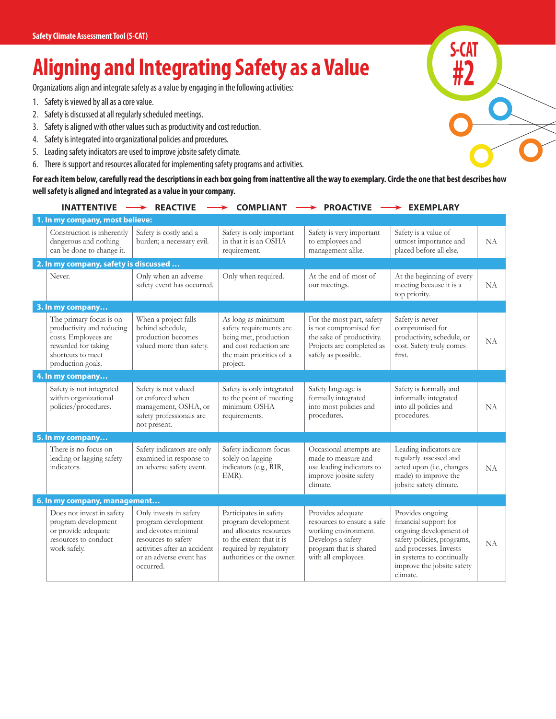## **Aligning and Integrating Safety as a Value**

Organizations align and integrate safety as a value by engaging in the following activities:

- 1. Safety is viewed by all as a core value.
- 2. Safety is discussed at all regularly scheduled meetings.
- 3. Safety is aligned with other values such as productivity and cost reduction.
- 4. Safety is integrated into organizational policies and procedures.
- 5. Leading safety indicators are used to improve jobsite safety climate.
- 6. There is support and resources allocated for implementing safety programs and activities.

**For each item below, carefully read the descriptions in each box going from inattentive all the way to exemplary. Circle the one that best describes how well safety is aligned and integrated as a value in your company.**

**S-CAT**

**#2**

| <b>INATTENTIVE</b>                                                                                                                            | <b>REACTIVE</b>                                                                                                                                                     | <b>COMPLIANT</b>                                                                                                                                            | <b>PROACTIVE</b>                                                                                                                              | <b>EXEMPLARY</b>                                                                                                                                                                                   |           |
|-----------------------------------------------------------------------------------------------------------------------------------------------|---------------------------------------------------------------------------------------------------------------------------------------------------------------------|-------------------------------------------------------------------------------------------------------------------------------------------------------------|-----------------------------------------------------------------------------------------------------------------------------------------------|----------------------------------------------------------------------------------------------------------------------------------------------------------------------------------------------------|-----------|
| 1. In my company, most believe:                                                                                                               |                                                                                                                                                                     |                                                                                                                                                             |                                                                                                                                               |                                                                                                                                                                                                    |           |
| Construction is inherently<br>dangerous and nothing<br>can be done to change it.                                                              | Safety is costly and a<br>burden; a necessary evil.                                                                                                                 | Safety is only important<br>in that it is an OSHA<br>requirement.                                                                                           | Safety is very important<br>to employees and<br>management alike.                                                                             | Safety is a value of<br>utmost importance and<br>placed before all else.                                                                                                                           | NA        |
| 2. In my company, safety is discussed                                                                                                         |                                                                                                                                                                     |                                                                                                                                                             |                                                                                                                                               |                                                                                                                                                                                                    |           |
| Never.                                                                                                                                        | Only when an adverse<br>safety event has occurred.                                                                                                                  | Only when required.                                                                                                                                         | At the end of most of<br>our meetings.                                                                                                        | At the beginning of every<br>meeting because it is a<br>top priority.                                                                                                                              | NA        |
| 3. In my company                                                                                                                              |                                                                                                                                                                     |                                                                                                                                                             |                                                                                                                                               |                                                                                                                                                                                                    |           |
| The primary focus is on<br>productivity and reducing<br>costs. Employees are<br>rewarded for taking<br>shortcuts to meet<br>production goals. | When a project falls<br>behind schedule,<br>production becomes<br>valued more than safety.                                                                          | As long as minimum<br>safety requirements are<br>being met, production<br>and cost reduction are<br>the main priorities of a<br>project.                    | For the most part, safety<br>is not compromised for<br>the sake of productivity.<br>Projects are completed as<br>safely as possible.          | Safety is never<br>compromised for<br>productivity, schedule, or<br>cost. Safety truly comes<br>first.                                                                                             | NA        |
| 4. In my company                                                                                                                              |                                                                                                                                                                     |                                                                                                                                                             |                                                                                                                                               |                                                                                                                                                                                                    |           |
| Safety is not integrated<br>within organizational<br>policies/procedures.                                                                     | Safety is not valued<br>or enforced when<br>management, OSHA, or<br>safety professionals are<br>not present.                                                        | Safety is only integrated<br>to the point of meeting<br>minimum OSHA<br>requirements.                                                                       | Safety language is<br>formally integrated<br>into most policies and<br>procedures.                                                            | Safety is formally and<br>informally integrated<br>into all policies and<br>procedures.                                                                                                            | NA        |
| 5. In my company                                                                                                                              |                                                                                                                                                                     |                                                                                                                                                             |                                                                                                                                               |                                                                                                                                                                                                    |           |
| There is no focus on<br>leading or lagging safety<br>indicators.                                                                              | Safety indicators are only<br>examined in response to<br>an adverse safety event.                                                                                   | Safety indicators focus<br>solely on lagging<br>indicators (e.g., RIR,<br>EMR).                                                                             | Occasional attempts are<br>made to measure and<br>use leading indicators to<br>improve jobsite safety<br>climate.                             | Leading indicators are<br>regularly assessed and<br>acted upon (i.e., changes<br>made) to improve the<br>jobsite safety climate.                                                                   | NA        |
| 6. In my company, management                                                                                                                  |                                                                                                                                                                     |                                                                                                                                                             |                                                                                                                                               |                                                                                                                                                                                                    |           |
| Does not invest in safety<br>program development<br>or provide adequate<br>resources to conduct<br>work safely.                               | Only invests in safety<br>program development<br>and devotes minimal<br>resources to safety<br>activities after an accident<br>or an adverse event has<br>occurred. | Participates in safety<br>program development<br>and allocates resources<br>to the extent that it is<br>required by regulatory<br>authorities or the owner. | Provides adequate<br>resources to ensure a safe<br>working environment.<br>Develops a safety<br>program that is shared<br>with all employees. | Provides ongoing<br>financial support for<br>ongoing development of<br>safety policies, programs,<br>and processes. Invests<br>in systems to continually<br>improve the jobsite safety<br>climate. | <b>NA</b> |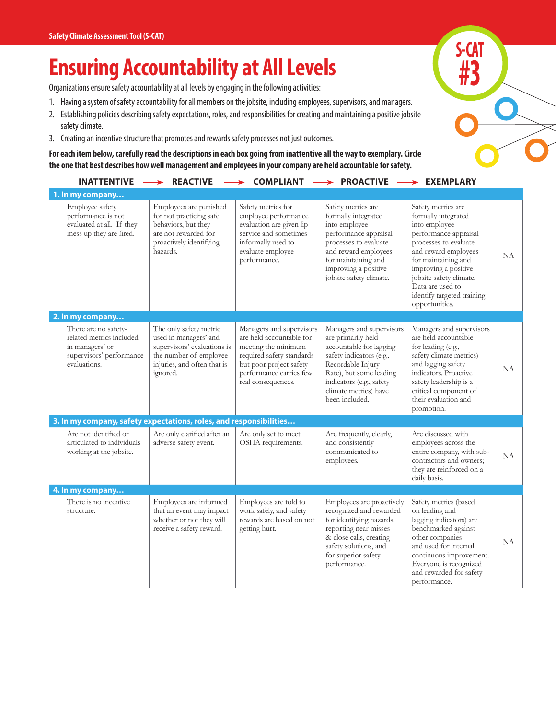## **Ensuring Accountability at All Levels**

Organizations ensure safety accountability at all levels by engaging in the following activities:

- 1. Having a system of safety accountability for all members on the jobsite, including employees, supervisors, and managers.
- 2. Establishing policies describing safety expectations, roles, and responsibilities for creating and maintaining a positive jobsite safety climate.
- 3. Creating an incentive structure that promotes and rewards safety processes not just outcomes.

**For each item below, carefully read the descriptions in each box going from inattentive all the way to exemplary. Circle the one that best describes how well management and employees in your company are held accountable for safety.**

| <b>INATTENTIVE</b>                                                                                              | <b>REACTIVE</b>                                                                                                                                     | <b>COMPLIANT</b>                                                                                                                                                                     | <b>PROACTIVE</b>                                                                                                                                                                                                             | $\rightarrow$ EXEMPLARY                                                                                                                                                                                                                                                            |    |
|-----------------------------------------------------------------------------------------------------------------|-----------------------------------------------------------------------------------------------------------------------------------------------------|--------------------------------------------------------------------------------------------------------------------------------------------------------------------------------------|------------------------------------------------------------------------------------------------------------------------------------------------------------------------------------------------------------------------------|------------------------------------------------------------------------------------------------------------------------------------------------------------------------------------------------------------------------------------------------------------------------------------|----|
| 1. In my company                                                                                                |                                                                                                                                                     |                                                                                                                                                                                      |                                                                                                                                                                                                                              |                                                                                                                                                                                                                                                                                    |    |
| Employee safety<br>performance is not<br>evaluated at all. If they<br>mess up they are fired.                   | Employees are punished<br>for not practicing safe<br>behaviors, but they<br>are not rewarded for<br>proactively identifying<br>hazards.             | Safety metrics for<br>employee performance<br>evaluation are given lip<br>service and sometimes<br>informally used to<br>evaluate employee<br>performance.                           | Safety metrics are<br>formally integrated<br>into employee<br>performance appraisal<br>processes to evaluate<br>and reward employees<br>for maintaining and<br>improving a positive<br>jobsite safety climate.               | Safety metrics are<br>formally integrated<br>into employee<br>performance appraisal<br>processes to evaluate<br>and reward employees<br>for maintaining and<br>improving a positive<br>jobsite safety climate.<br>Data are used to<br>identify targeted training<br>opportunities. | NA |
| 2. In my company                                                                                                |                                                                                                                                                     |                                                                                                                                                                                      |                                                                                                                                                                                                                              |                                                                                                                                                                                                                                                                                    |    |
| There are no safety-<br>related metrics included<br>in managers' or<br>supervisors' performance<br>evaluations. | The only safety metric<br>used in managers' and<br>supervisors' evaluations is<br>the number of employee<br>injuries, and often that is<br>ignored. | Managers and supervisors<br>are held accountable for<br>meeting the minimum<br>required safety standards<br>but poor project safety<br>performance carries few<br>real consequences. | Managers and supervisors<br>are primarily held<br>accountable for lagging<br>safety indicators (e.g.,<br>Recordable Injury<br>Rate), but some leading<br>indicators (e.g., safety<br>climate metrics) have<br>been included. | Managers and supervisors<br>are held accountable<br>for leading (e.g.,<br>safety climate metrics)<br>and lagging safety<br>indicators. Proactive<br>safety leadership is a<br>critical component of<br>their evaluation and<br>promotion.                                          | NA |
| 3. In my company, safety expectations, roles, and responsibilities                                              |                                                                                                                                                     |                                                                                                                                                                                      |                                                                                                                                                                                                                              |                                                                                                                                                                                                                                                                                    |    |
| Are not identified or<br>articulated to individuals<br>working at the jobsite.                                  | Are only clarified after an<br>adverse safety event.                                                                                                | Are only set to meet<br>OSHA requirements.                                                                                                                                           | Are frequently, clearly,<br>and consistently<br>communicated to<br>employees.                                                                                                                                                | Are discussed with<br>employees across the<br>entire company, with sub-<br>contractors and owners;<br>they are reinforced on a<br>daily basis.                                                                                                                                     | NA |
| 4. In my company                                                                                                |                                                                                                                                                     |                                                                                                                                                                                      |                                                                                                                                                                                                                              |                                                                                                                                                                                                                                                                                    |    |
| There is no incentive<br>structure.                                                                             | Employees are informed<br>that an event may impact<br>whether or not they will<br>receive a safety reward.                                          | Employees are told to<br>work safely, and safety<br>rewards are based on not<br>getting hurt.                                                                                        | Employees are proactively<br>recognized and rewarded<br>for identifying hazards,<br>reporting near misses<br>& close calls, creating<br>safety solutions, and<br>for superior safety<br>performance.                         | Safety metrics (based<br>on leading and<br>lagging indicators) are<br>benchmarked against<br>other companies<br>and used for internal<br>continuous improvement.<br>Everyone is recognized<br>and rewarded for safety<br>performance.                                              | NA |

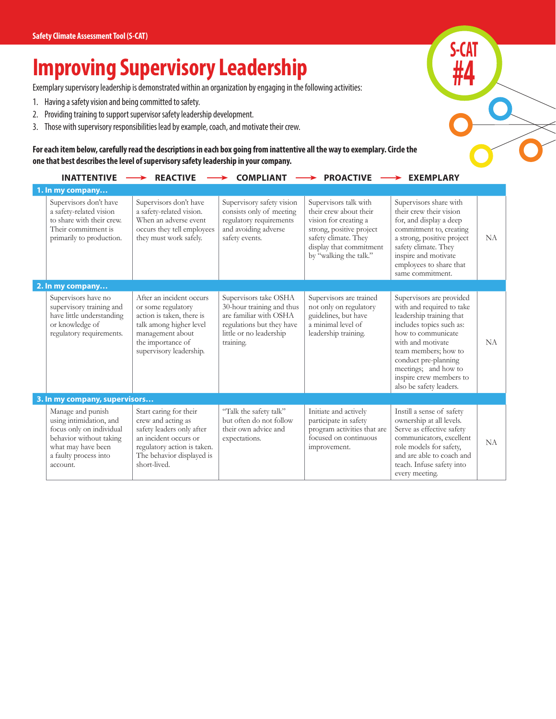## **Improving Supervisory Leadership**

Exemplary supervisory leadership is demonstrated within an organization by engaging in the following activities:

- 1. Having a safety vision and being committed to safety.
- 2. Providing training to support supervisor safety leadership development.
- 3. Those with supervisory responsibilities lead by example, coach, and motivate their crew.

**For each item below, carefully read the descriptions in each box going from inattentive all the way to exemplary. Circle the one that best describes the level of supervisory safety leadership in your company.**

| <b>INATTENTIVE</b>                                                                                                                                             | <b>REACTIVE</b>                                                                                                                                                                | <b>COMPLIANT</b>                                                                                                                                  | <b>PROACTIVE</b>                                                                                                                                                                  | <b>EXEMPLARY</b>                                                                                                                                                                                                                                                                       |     |
|----------------------------------------------------------------------------------------------------------------------------------------------------------------|--------------------------------------------------------------------------------------------------------------------------------------------------------------------------------|---------------------------------------------------------------------------------------------------------------------------------------------------|-----------------------------------------------------------------------------------------------------------------------------------------------------------------------------------|----------------------------------------------------------------------------------------------------------------------------------------------------------------------------------------------------------------------------------------------------------------------------------------|-----|
| 1. In my company                                                                                                                                               |                                                                                                                                                                                |                                                                                                                                                   |                                                                                                                                                                                   |                                                                                                                                                                                                                                                                                        |     |
| Supervisors don't have<br>a safety-related vision<br>to share with their crew.<br>Their commitment is<br>primarily to production.                              | Supervisors don't have<br>a safety-related vision.<br>When an adverse event<br>occurs they tell employees<br>they must work safely.                                            | Supervisory safety vision<br>consists only of meeting<br>regulatory requirements<br>and avoiding adverse<br>safety events.                        | Supervisors talk with<br>their crew about their<br>vision for creating a<br>strong, positive project<br>safety climate. They<br>display that commitment<br>by "walking the talk." | Supervisors share with<br>their crew their vision<br>for, and display a deep<br>commitment to, creating<br>a strong, positive project<br>safety climate. They<br>inspire and motivate<br>employees to share that<br>same commitment.                                                   | NA. |
| 2. In my company                                                                                                                                               |                                                                                                                                                                                |                                                                                                                                                   |                                                                                                                                                                                   |                                                                                                                                                                                                                                                                                        |     |
| Supervisors have no<br>supervisory training and<br>have little understanding<br>or knowledge of<br>regulatory requirements.                                    | After an incident occurs<br>or some regulatory<br>action is taken, there is<br>talk among higher level<br>management about<br>the importance of<br>supervisory leadership.     | Supervisors take OSHA<br>30-hour training and thus<br>are familiar with OSHA<br>regulations but they have<br>little or no leadership<br>training. | Supervisors are trained<br>not only on regulatory<br>guidelines, but have<br>a minimal level of<br>leadership training.                                                           | Supervisors are provided<br>with and required to take<br>leadership training that<br>includes topics such as:<br>how to communicate<br>with and motivate<br>team members; how to<br>conduct pre-planning<br>meetings; and how to<br>inspire crew members to<br>also be safety leaders. | NA. |
| 3. In my company, supervisors                                                                                                                                  |                                                                                                                                                                                |                                                                                                                                                   |                                                                                                                                                                                   |                                                                                                                                                                                                                                                                                        |     |
| Manage and punish<br>using intimidation, and<br>focus only on individual<br>behavior without taking<br>what may have been<br>a faulty process into<br>account. | Start caring for their<br>crew and acting as<br>safety leaders only after<br>an incident occurs or<br>regulatory action is taken.<br>The behavior displayed is<br>short-lived. | "Talk the safety talk"<br>but often do not follow<br>their own advice and<br>expectations.                                                        | Initiate and actively<br>participate in safety<br>program activities that are<br>focused on continuous<br>improvement.                                                            | Instill a sense of safety<br>ownership at all levels.<br>Serve as effective safety<br>communicators, excellent<br>role models for safety,<br>and are able to coach and<br>teach. Infuse safety into<br>every meeting.                                                                  | NA  |

**S-CAT**

**#4**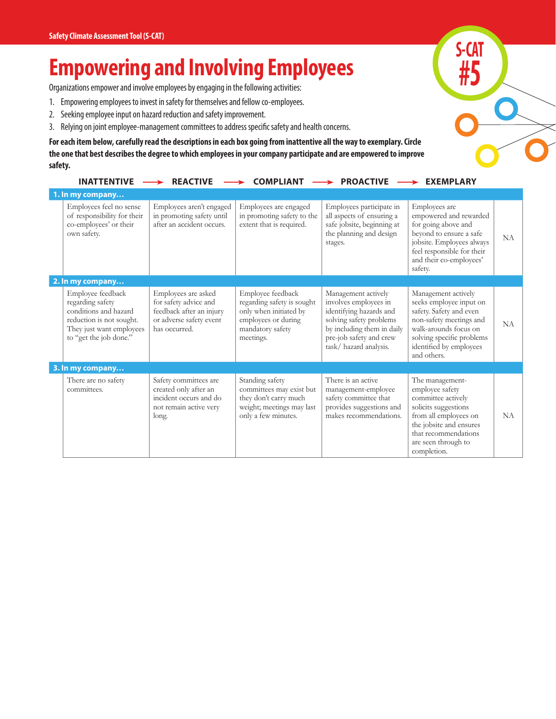## **Empowering and Involving Employees**

Organizations empower and involve employees by engaging in the following activities:

- 1. Empowering employees to invest in safety for themselves and fellow co-employees.
- 2. Seeking employee input on hazard reduction and safety improvement.
- 3. Relying on joint employee-management committees to address specific safety and health concerns.

**For each item below, carefully read the descriptions in each box going from inattentive all the way to exemplary. Circle the one that best describes the degree to which employees in your company participate and are empowered to improve safety.** 

| <b>INATTENTIVE</b>                                                                                                                               | <b>REACTIVE</b>                                                                                                      | <b>COMPLIANT</b>                                                                                                                  | <b>PROACTIVE</b>                                                                                                                                                                     | <b>EXEMPLARY</b>                                                                                                                                                                                     |    |
|--------------------------------------------------------------------------------------------------------------------------------------------------|----------------------------------------------------------------------------------------------------------------------|-----------------------------------------------------------------------------------------------------------------------------------|--------------------------------------------------------------------------------------------------------------------------------------------------------------------------------------|------------------------------------------------------------------------------------------------------------------------------------------------------------------------------------------------------|----|
| 1. In my company                                                                                                                                 |                                                                                                                      |                                                                                                                                   |                                                                                                                                                                                      |                                                                                                                                                                                                      |    |
| Employees feel no sense<br>of responsibility for their<br>co-employees' or their<br>own safety.                                                  | Employees aren't engaged<br>in promoting safety until<br>after an accident occurs.                                   | Employees are engaged<br>in promoting safety to the<br>extent that is required.                                                   | Employees participate in<br>all aspects of ensuring a<br>safe jobsite, beginning at<br>the planning and design<br>stages.                                                            | Employees are<br>empowered and rewarded<br>for going above and<br>beyond to ensure a safe<br>jobsite. Employees always<br>feel responsible for their<br>and their co-employees'<br>safety.           | NA |
| 2. In my company                                                                                                                                 |                                                                                                                      |                                                                                                                                   |                                                                                                                                                                                      |                                                                                                                                                                                                      |    |
| Employee feedback<br>regarding safety<br>conditions and hazard<br>reduction is not sought.<br>They just want employees<br>to "get the job done." | Employees are asked<br>for safety advice and<br>feedback after an injury<br>or adverse safety event<br>has occurred. | Employee feedback<br>regarding safety is sought<br>only when initiated by<br>employees or during<br>mandatory safety<br>meetings. | Management actively<br>involves employees in<br>identifying hazards and<br>solving safety problems<br>by including them in daily<br>pre-job safety and crew<br>task/hazard analysis. | Management actively<br>seeks employee input on<br>safety. Safety and even<br>non-safety meetings and<br>walk-arounds focus on<br>solving specific problems<br>identified by employees<br>and others. | NA |
| 3. In my company                                                                                                                                 |                                                                                                                      |                                                                                                                                   |                                                                                                                                                                                      |                                                                                                                                                                                                      |    |
| There are no safety<br>committees.                                                                                                               | Safety committees are<br>created only after an<br>incident occurs and do<br>not remain active very<br>long.          | Standing safety<br>committees may exist but<br>they don't carry much<br>weight; meetings may last<br>only a few minutes.          | There is an active<br>management-employee<br>safety committee that<br>provides suggestions and<br>makes recommendations.                                                             | The management-<br>employee safety<br>committee actively<br>solicits suggestions<br>from all employees on<br>the jobsite and ensures<br>that recommendations<br>are seen through to<br>completion.   | NA |

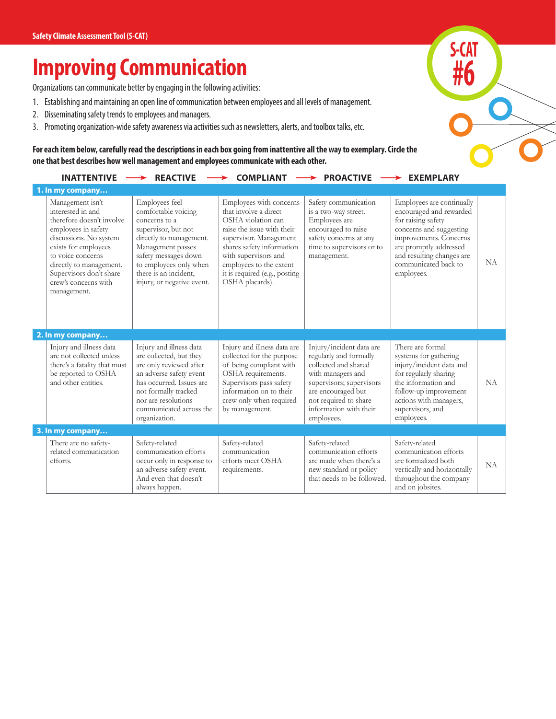## **Improving Communication**

Organizations can communicate better by engaging in the following activities:

- 1. Establishing and maintaining an open line of communication between employees and all levels of management.
- 2. Disseminating safety trends to employees and managers.
- 3. Promoting organization-wide safety awareness via activities such as newsletters, alerts, and toolbox talks, etc.

**For each item below, carefully read the descriptions in each box going from inattentive all the way to exemplary. Circle the one that best describes how well management and employees communicate with each other.**

| <b>INATTENTIVE</b>                                                                                                                                                                                                                                            | <b>REACTIVE</b>                                                                                                                                                                                                                        | <b>COMPLIANT</b>                                                                                                                                                                                                                                                   | <b>PROACTIVE</b>                                                                                                                                                                                                   | $\rightarrow$ EXEMPLARY                                                                                                                                                                                                      |           |
|---------------------------------------------------------------------------------------------------------------------------------------------------------------------------------------------------------------------------------------------------------------|----------------------------------------------------------------------------------------------------------------------------------------------------------------------------------------------------------------------------------------|--------------------------------------------------------------------------------------------------------------------------------------------------------------------------------------------------------------------------------------------------------------------|--------------------------------------------------------------------------------------------------------------------------------------------------------------------------------------------------------------------|------------------------------------------------------------------------------------------------------------------------------------------------------------------------------------------------------------------------------|-----------|
| 1. In my company                                                                                                                                                                                                                                              |                                                                                                                                                                                                                                        |                                                                                                                                                                                                                                                                    |                                                                                                                                                                                                                    |                                                                                                                                                                                                                              |           |
| Management isn't<br>interested in and<br>therefore doesn't involve<br>employees in safety<br>discussions. No system<br>exists for employees<br>to voice concerns<br>directly to management.<br>Supervisors don't share<br>crew's concerns with<br>management. | Employees feel<br>comfortable voicing<br>concerns to a<br>supervisor, but not<br>directly to management.<br>Management passes<br>safety messages down<br>to employees only when<br>there is an incident.<br>injury, or negative event. | Employees with concerns<br>that involve a direct<br>OSHA violation can<br>raise the issue with their<br>supervisor. Management<br>shares safety information<br>with supervisors and<br>employees to the extent<br>it is required (e.g., posting<br>OSHA placards). | Safety communication<br>is a two-way street.<br>Employees are<br>encouraged to raise<br>safety concerns at any<br>time to supervisors or to<br>management.                                                         | Employees are continually<br>encouraged and rewarded<br>for raising safety<br>concerns and suggesting<br>improvements. Concerns<br>are promptly addressed<br>and resulting changes are<br>communicated back to<br>employees. | NA        |
| 2. In my company                                                                                                                                                                                                                                              |                                                                                                                                                                                                                                        |                                                                                                                                                                                                                                                                    |                                                                                                                                                                                                                    |                                                                                                                                                                                                                              |           |
| Injury and illness data<br>are not collected unless<br>there's a fatality that must<br>be reported to OSHA<br>and other entities.                                                                                                                             | Injury and illness data<br>are collected, but they<br>are only reviewed after<br>an adverse safety event<br>has occurred. Issues are<br>not formally tracked<br>nor are resolutions<br>communicated across the<br>organization.        | Injury and illness data are<br>collected for the purpose<br>of being compliant with<br>OSHA requirements.<br>Supervisors pass safety<br>information on to their<br>crew only when required<br>by management.                                                       | Injury/incident data are<br>regularly and formally<br>collected and shared<br>with managers and<br>supervisors; supervisors<br>are encouraged but<br>not required to share<br>information with their<br>employees. | There are formal<br>systems for gathering<br>injury/incident data and<br>for regularly sharing<br>the information and<br>follow-up improvement<br>actions with managers,<br>supervisors, and<br>employees.                   | NA        |
| 3. In my company                                                                                                                                                                                                                                              |                                                                                                                                                                                                                                        |                                                                                                                                                                                                                                                                    |                                                                                                                                                                                                                    |                                                                                                                                                                                                                              |           |
| There are no safety-<br>related communication<br>efforts.                                                                                                                                                                                                     | Safety-related<br>communication efforts<br>occur only in response to<br>an adverse safety event.<br>And even that doesn't<br>always happen.                                                                                            | Safety-related<br>communication<br>efforts meet OSHA<br>requirements.                                                                                                                                                                                              | Safety-related<br>communication efforts<br>are made when there's a<br>new standard or policy<br>that needs to be followed.                                                                                         | Safety-related<br>communication efforts<br>are formalized both<br>vertically and horizontally<br>throughout the company<br>and on jobsites.                                                                                  | <b>NA</b> |

**S-CAT**

**#6**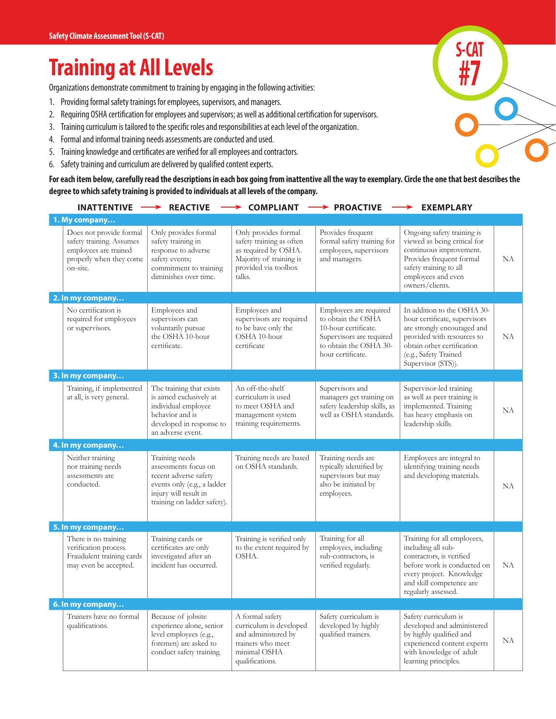## **Training at All Levels**

Organizations demonstrate commitment to training by engaging in the following activities:

- 1. Providing formal safety trainings for employees, supervisors, and managers.
- 2. Requiring OSHA certification for employees and supervisors; as well as additional certification for supervisors.
- 3. Training curriculum is tailored to the specific roles and responsibilities at each level of the organization.
- 4. Formal and informal training needs assessments are conducted and used.
- 5. Training knowledge and certificates are verified for all employees and contractors.
- 6. Safety training and curriculum are delivered by qualified content experts.

**For each item below, carefully read the descriptions in each box going from inattentive all the way to exemplary. Circle the one that best describes the degree to which safety training is provided to individuals at all levels of the company.**

| <b>INATTENTIVE</b>                                                                                                  | <b>REACTIVE</b><br>→                                                                                                                                   | <b>COMPLIANT</b>                                                                                                                      | $\blacktriangleright$ PROACTIVE                                                                                                                 | <b>EXEMPLARY</b>                                                                                                                                                                                       |     |
|---------------------------------------------------------------------------------------------------------------------|--------------------------------------------------------------------------------------------------------------------------------------------------------|---------------------------------------------------------------------------------------------------------------------------------------|-------------------------------------------------------------------------------------------------------------------------------------------------|--------------------------------------------------------------------------------------------------------------------------------------------------------------------------------------------------------|-----|
| 1. My company                                                                                                       |                                                                                                                                                        |                                                                                                                                       |                                                                                                                                                 |                                                                                                                                                                                                        |     |
| Does not provide formal<br>safety training. Assumes<br>employees are trained<br>properly when they come<br>on-site. | Only provides formal<br>safety training in<br>response to adverse<br>safety events;<br>commitment to training<br>diminishes over time.                 | Only provides formal<br>safety training as often<br>as required by OSHA.<br>Majority of training is<br>provided via toolbox<br>talks. | Provides frequent<br>formal safety training for<br>employees, supervisors<br>and managers.                                                      | Ongoing safety training is<br>viewed as being critical for<br>continuous improvement.<br>Provides frequent formal<br>safety training to all<br>employees and even<br>owners/clients.                   | NA. |
| 2. In my company                                                                                                    |                                                                                                                                                        |                                                                                                                                       |                                                                                                                                                 |                                                                                                                                                                                                        |     |
| No certification is<br>required for employees<br>or supervisors.                                                    | Employees and<br>supervisors can<br>voluntarily pursue<br>the OSHA 10-hour<br>certificate.                                                             | Employees and<br>supervisors are required<br>to be have only the<br>OSHA 10-hour<br>certificate                                       | Employees are required<br>to obtain the OSHA<br>10-hour certificate.<br>Supervisors are required<br>to obtain the OSHA 30-<br>hour certificate. | In addition to the OSHA 30-<br>hour certificate, supervisors<br>are strongly encouraged and<br>provided with resources to<br>obtain other certification<br>(e.g., Safety Trained<br>Supervisor (STS)). | NA. |
| 3. In my company                                                                                                    |                                                                                                                                                        |                                                                                                                                       |                                                                                                                                                 |                                                                                                                                                                                                        |     |
| Training, if implemented<br>at all, is very general.                                                                | The training that exists<br>is aimed exclusively at<br>individual employee<br>behavior and is<br>developed in response to<br>an adverse event.         | An off-the-shelf<br>curriculum is used<br>to meet OSHA and<br>management system<br>training requirements.                             | Supervisors and<br>managers get training on<br>safety leadership skills, as<br>well as OSHA standards.                                          | Supervisor-led training<br>as well as peer training is<br>implemented. Training<br>has heavy emphasis on<br>leadership skills.                                                                         | NA  |
| 4. In my company                                                                                                    |                                                                                                                                                        |                                                                                                                                       |                                                                                                                                                 |                                                                                                                                                                                                        |     |
| Neither training<br>nor training needs<br>assessments are<br>conducted.                                             | Training needs<br>assessments focus on<br>recent adverse safety<br>events only (e.g., a ladder<br>injury will result in<br>training on ladder safety). | Training needs are based<br>on OSHA standards.                                                                                        | Training needs are<br>typically identified by<br>supervisors but may<br>also be initiated by<br>employees.                                      | Employees are integral to<br>identifying training needs<br>and developing materials.                                                                                                                   | NA  |
| 5. In my company                                                                                                    |                                                                                                                                                        |                                                                                                                                       |                                                                                                                                                 |                                                                                                                                                                                                        |     |
| There is no training<br>verification process.<br>Fraudulent training cards<br>may even be accepted.                 | Training cards or<br>certificates are only<br>investigated after an<br>incident has occurred.                                                          | Training is verified only<br>to the extent required by<br>OSHA.                                                                       | Training for all<br>employees, including<br>sub-contractors, is<br>verified regularly.                                                          | Training for all employees,<br>including all sub-<br>contractors, is verified<br>before work is conducted on<br>every project. Knowledge<br>and skill competence are<br>regularly assessed.            | NA  |
| 6. In my company                                                                                                    |                                                                                                                                                        |                                                                                                                                       |                                                                                                                                                 |                                                                                                                                                                                                        |     |
| Trainers have no formal<br>qualifications.                                                                          | Because of jobsite<br>experience alone, senior<br>level employees (e.g.,<br>foremen) are asked to<br>conduct safety training.                          | A formal safety<br>curriculum is developed<br>and administered by<br>trainers who meet<br>minimal OSHA<br>qualifications.             | Safety curriculum is<br>developed by highly<br>qualified trainers.                                                                              | Safety curriculum is<br>developed and administered<br>by highly qualified and<br>experienced content experts<br>with knowledge of adult<br>learning principles.                                        | NA  |

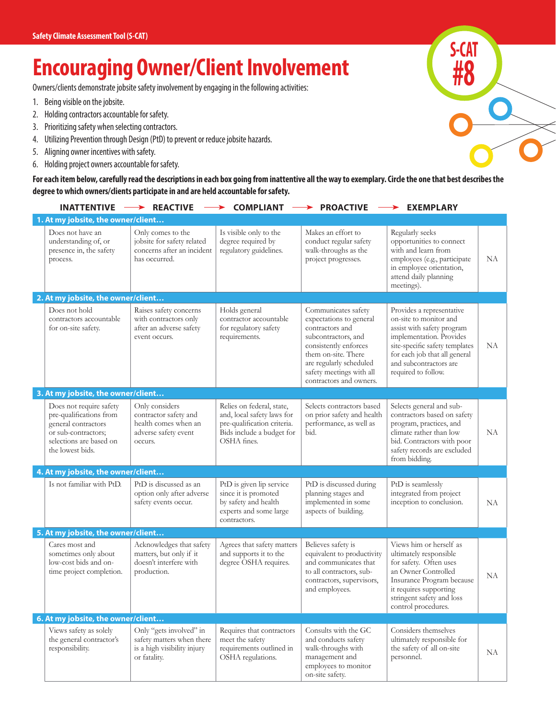## **Encouraging Owner/Client Involvement**

Owners/clients demonstrate jobsite safety involvement by engaging in the following activities:

- 1. Being visible on the jobsite.
- 2. Holding contractors accountable for safety.
- 3. Prioritizing safety when selecting contractors.
- 4. Utilizing Prevention through Design (PtD) to prevent or reduce jobsite hazards.
- 5. Aligning owner incentives with safety.
- 6. Holding project owners accountable for safety.

**For each item below, carefully read the descriptions in each box going from inattentive all the way to exemplary. Circle the one that best describes the degree to which owners/clients participate in and are held accountable for safety.**

| <b>INATTENTIVE</b>                                                                                                                              | <b>REACTIVE</b>                                                                                     | <b>COMPLIANT</b>                                                                                                                   | <b>PROACTIVE</b>                                                                                                                                                                                                           | <b>EXEMPLARY</b>                                                                                                                                                                                                                  |    |
|-------------------------------------------------------------------------------------------------------------------------------------------------|-----------------------------------------------------------------------------------------------------|------------------------------------------------------------------------------------------------------------------------------------|----------------------------------------------------------------------------------------------------------------------------------------------------------------------------------------------------------------------------|-----------------------------------------------------------------------------------------------------------------------------------------------------------------------------------------------------------------------------------|----|
| 1. At my jobsite, the owner/client                                                                                                              |                                                                                                     |                                                                                                                                    |                                                                                                                                                                                                                            |                                                                                                                                                                                                                                   |    |
| Does not have an<br>understanding of, or<br>presence in, the safety<br>process.                                                                 | Only comes to the<br>jobsite for safety related<br>concerns after an incident<br>has occurred.      | Is visible only to the<br>degree required by<br>regulatory guidelines.                                                             | Makes an effort to<br>conduct regular safety<br>walk-throughs as the<br>project progresses.                                                                                                                                | Regularly seeks<br>opportunities to connect<br>with and learn from<br>employees (e.g., participate<br>in employee orientation,<br>attend daily planning<br>meetings).                                                             | NA |
| 2. At my jobsite, the owner/client                                                                                                              |                                                                                                     |                                                                                                                                    |                                                                                                                                                                                                                            |                                                                                                                                                                                                                                   |    |
| Does not hold<br>contractors accountable<br>for on-site safety.                                                                                 | Raises safety concerns<br>with contractors only<br>after an adverse safety<br>event occurs.         | Holds general<br>contractor accountable<br>for regulatory safety<br>requirements.                                                  | Communicates safety<br>expectations to general<br>contractors and<br>subcontractors, and<br>consistently enforces<br>them on-site. There<br>are regularly scheduled<br>safety meetings with all<br>contractors and owners. | Provides a representative<br>on-site to monitor and<br>assist with safety program<br>implementation. Provides<br>site-specific safety templates<br>for each job that all general<br>and subcontractors are<br>required to follow. | NA |
| 3. At my jobsite, the owner/client                                                                                                              |                                                                                                     |                                                                                                                                    |                                                                                                                                                                                                                            |                                                                                                                                                                                                                                   |    |
| Does not require safety<br>pre-qualifications from<br>general contractors<br>or sub-contractors;<br>selections are based on<br>the lowest bids. | Only considers<br>contractor safety and<br>health comes when an<br>adverse safety event<br>occurs.  | Relies on federal, state,<br>and, local safety laws for<br>pre-qualification criteria.<br>Bids include a budget for<br>OSHA fines. | Selects contractors based<br>on prior safety and health<br>performance, as well as<br>bid.                                                                                                                                 | Selects general and sub-<br>contractors based on safety<br>program, practices, and<br>climate rather than low<br>bid. Contractors with poor<br>safety records are excluded<br>from bidding.                                       | NA |
| 4. At my jobsite, the owner/client                                                                                                              |                                                                                                     |                                                                                                                                    |                                                                                                                                                                                                                            |                                                                                                                                                                                                                                   |    |
| Is not familiar with PtD.                                                                                                                       | PtD is discussed as an<br>option only after adverse<br>safety events occur.                         | PtD is given lip service<br>since it is promoted<br>by safety and health<br>experts and some large<br>contractors.                 | PtD is discussed during<br>planning stages and<br>implemented in some<br>aspects of building.                                                                                                                              | PtD is seamlessly<br>integrated from project<br>inception to conclusion.                                                                                                                                                          | NA |
| 5. At my jobsite, the owner/client                                                                                                              |                                                                                                     |                                                                                                                                    |                                                                                                                                                                                                                            |                                                                                                                                                                                                                                   |    |
| Cares most and<br>sometimes only about<br>low-cost bids and on-<br>time project completion.                                                     | Acknowledges that safety<br>matters, but only if it<br>doesn't interfere with<br>production.        | Agrees that safety matters<br>and supports it to the<br>degree OSHA requires.                                                      | Believes safety is<br>equivalent to productivity<br>and communicates that<br>to all contractors, sub-<br>contractors, supervisors,<br>and employees.                                                                       | Views him or herself as<br>ultimately responsible<br>for safety. Often uses<br>an Owner Controlled<br>Insurance Program because<br>it requires supporting<br>stringent safety and loss<br>control procedures.                     | NA |
| 6. At my jobsite, the owner/client                                                                                                              |                                                                                                     |                                                                                                                                    |                                                                                                                                                                                                                            |                                                                                                                                                                                                                                   |    |
| Views safety as solely<br>the general contractor's<br>responsibility.                                                                           | Only "gets involved" in<br>safety matters when there<br>is a high visibility injury<br>or fatality. | Requires that contractors<br>meet the safety<br>requirements outlined in<br>OSHA regulations.                                      | Consults with the GC<br>and conducts safety<br>walk-throughs with<br>management and<br>employees to monitor<br>on-site safety.                                                                                             | Considers themselves<br>ultimately responsible for<br>the safety of all on-site<br>personnel.                                                                                                                                     | NA |

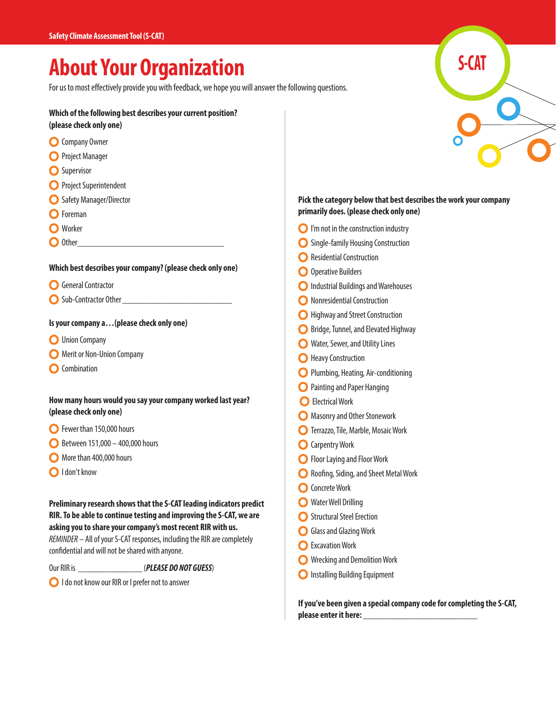## **About Your Organization**

For us to most effectively provide you with feedback, we hope you will answer the following questions.

#### **Which of the following best describes your current position? (please check only one)**

- **O** Company Owner
- **O** Project Manager
- **O** Supervisor
- **O** Project Superintendent
- **O** Safety Manager/Director
- **O** Foreman
- **O** Worker
- $\bigcirc$  Other

#### **Which best describes your company? (please check only one)**

- **O** General Contractor
- Sub-Contractor Other\_\_\_\_\_\_\_\_\_\_\_\_\_\_\_\_\_\_\_\_\_\_\_\_

#### **Is your company a…(please check only one)**

- **O** Union Company
- **O** Merit or Non-Union Company
- **O** Combination

#### **How many hours would you say your company worked last year? (please check only one)**

- **O** Fewer than 150,000 hours
- $\bigcirc$  Between 151,000 400,000 hours
- More than 400,000 hours
- I don't know

**Preliminary research shows that the S-CAT leading indicators predict RIR. To be able to continue testing and improving the S-CAT, we are asking you to share your company's most recent RIR with us.**  *REMINDER* – All of your S-CAT responses, including the RIR are completely confidential and will not be shared with anyone.

Our RIR is \_\_\_\_\_\_\_\_\_\_\_\_\_\_ (*PLEASE DO NOT GUESS*)

**O** I do not know our RIR or I prefer not to answer

# **S-CAT**

#### **Pick the category below that best describes the work your company primarily does. (please check only one)**

- **O** I'm not in the construction industry
- **O** Single-family Housing Construction
- **O** Residential Construction
- O Operative Builders
- **O** Industrial Buildings and Warehouses
- **O** Nonresidential Construction
- **O** Highway and Street Construction
- **O** Bridge, Tunnel, and Elevated Highway
- **O** Water, Sewer, and Utility Lines
- **O** Heavy Construction
- **O** Plumbing, Heating, Air-conditioning
- **O** Painting and Paper Hanging
- **O** Electrical Work
- **O** Masonry and Other Stonework
- **O** Terrazzo, Tile, Marble, Mosaic Work
- **O** Carpentry Work
- **O** Floor Laying and Floor Work
- **C** Roofing, Siding, and Sheet Metal Work
- **O** Concrete Work
- **O** Water Well Drilling
- **O** Structural Steel Erection
- **C** Glass and Glazing Work
- **O** Excavation Work
- **O** Wrecking and Demolition Work
- **O** Installing Building Equipment

**If you've been given a special company code for completing the S-CAT, please enter it here: \_\_\_\_\_\_\_\_\_\_\_\_\_\_\_\_\_\_\_\_\_\_\_\_\_**